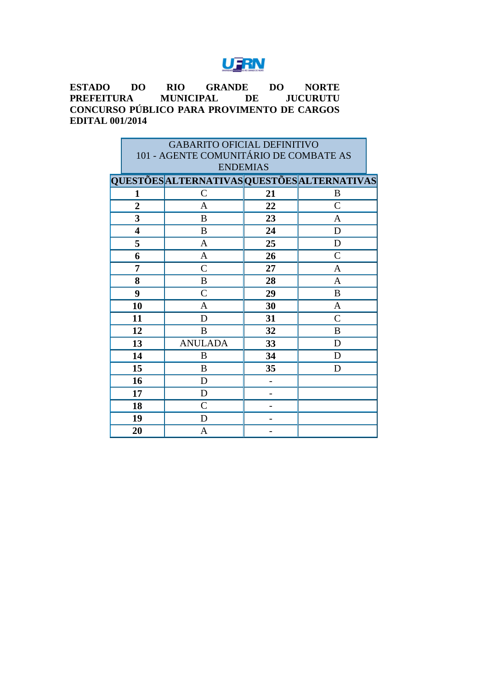#### UFRN

**ESTADO DO RIO GRANDE DO NORTE MUNICIPAL DE CONCURSO PÚBLICO PARA PROVIMENTO DE CARGOS EDITAL 001/2014**

| <b>GABARITO OFICIAL DEFINITIVO</b>     |                                             |    |                |  |  |
|----------------------------------------|---------------------------------------------|----|----------------|--|--|
| 101 - AGENTE COMUNITÁRIO DE COMBATE AS |                                             |    |                |  |  |
|                                        | <b>ENDEMIAS</b>                             |    |                |  |  |
|                                        | QUESTÕES ALTERNATIVAS QUESTÕES ALTERNATIVAS |    |                |  |  |
| 1                                      | $\mathcal{C}$                               | 21 | B              |  |  |
| $\overline{2}$                         | A                                           | 22 | $\overline{C}$ |  |  |
| 3                                      | B                                           | 23 | A              |  |  |
| 4                                      | B                                           | 24 | D              |  |  |
| 5                                      | A                                           | 25 | D              |  |  |
| 6                                      | $\mathbf{A}$                                | 26 | $\mathcal{C}$  |  |  |
| 7                                      | $\mathcal{C}$                               | 27 | $\mathbf{A}$   |  |  |
| 8                                      | B                                           | 28 | $\mathbf{A}$   |  |  |
| 9                                      | $\mathcal{C}$                               | 29 | B              |  |  |
| 10                                     | A                                           | 30 | $\mathbf{A}$   |  |  |
| 11                                     | D                                           | 31 | $\mathcal{C}$  |  |  |
| 12                                     | B                                           | 32 | B              |  |  |
| 13                                     | <b>ANULADA</b>                              | 33 | D              |  |  |
| 14                                     | B                                           | 34 | D              |  |  |
| 15                                     | B                                           | 35 | D              |  |  |
| 16                                     | D                                           |    |                |  |  |
| 17                                     | D                                           |    |                |  |  |
| 18                                     | $\mathcal{C}$                               |    |                |  |  |
| 19                                     | D                                           |    |                |  |  |
| 20                                     | A                                           |    |                |  |  |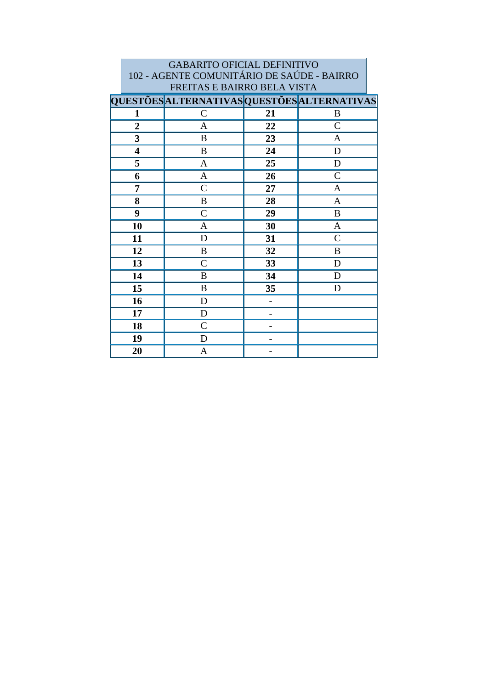|                         | <b>GABARITO OFICIAL DEFINITIVO</b>                                        |    |                |  |  |  |
|-------------------------|---------------------------------------------------------------------------|----|----------------|--|--|--|
|                         | 102 - AGENTE COMUNITÁRIO DE SAÚDE - BAIRRO<br>FREITAS E BAIRRO BELA VISTA |    |                |  |  |  |
|                         | <b>QUESTÕES ALTERNATIVAS QUESTÕES ALTERNATIVAS</b>                        |    |                |  |  |  |
| 1                       | $\mathsf{C}$                                                              | 21 | B              |  |  |  |
| $\overline{2}$          | A                                                                         | 22 | $\overline{C}$ |  |  |  |
| 3                       | B                                                                         | 23 | A              |  |  |  |
| $\overline{\mathbf{4}}$ | B                                                                         | 24 | D              |  |  |  |
| 5                       | A                                                                         | 25 | D              |  |  |  |
| 6                       | A                                                                         | 26 | $\mathcal{C}$  |  |  |  |
| 7                       | $\overline{C}$                                                            | 27 | A              |  |  |  |
| 8                       | B                                                                         | 28 | A              |  |  |  |
| 9                       | $\mathcal{C}$                                                             | 29 | B              |  |  |  |
| 10                      | A                                                                         | 30 | A              |  |  |  |
| 11                      | D                                                                         | 31 | $\mathcal{C}$  |  |  |  |
| 12                      | B                                                                         | 32 | B              |  |  |  |
| 13                      | $\overline{C}$                                                            | 33 | D              |  |  |  |
| 14                      | B                                                                         | 34 | D              |  |  |  |
| 15                      | B                                                                         | 35 | D              |  |  |  |
| 16                      | D                                                                         |    |                |  |  |  |
| 17                      | D                                                                         |    |                |  |  |  |
| 18                      | $\mathcal{C}$                                                             |    |                |  |  |  |
| 19                      | D                                                                         |    |                |  |  |  |
| 20                      | A                                                                         |    |                |  |  |  |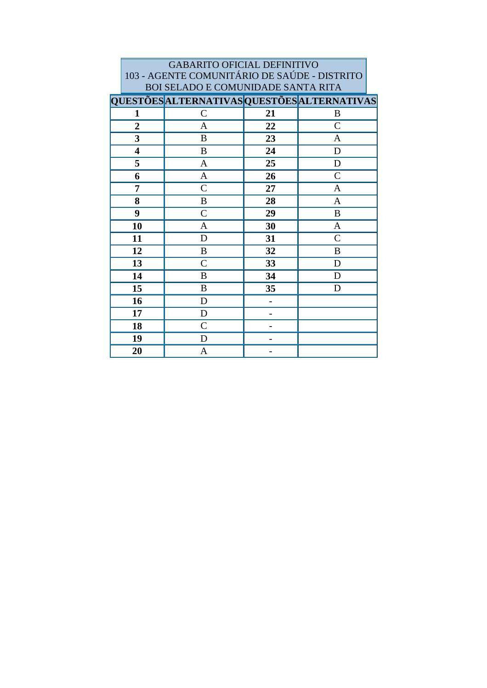| <b>GABARITO OFICIAL DEFINITIVO</b>                 |                                    |    |                |  |  |
|----------------------------------------------------|------------------------------------|----|----------------|--|--|
| 103 - AGENTE COMUNITÁRIO DE SAÚDE - DISTRITO       |                                    |    |                |  |  |
|                                                    | BOI SELADO E COMUNIDADE SANTA RITA |    |                |  |  |
| <b>QUESTÕES ALTERNATIVAS QUESTÕES ALTERNATIVAS</b> |                                    |    |                |  |  |
| 1                                                  | $\mathcal{C}$                      | 21 | B              |  |  |
| $\overline{2}$                                     | A                                  | 22 | $\mathcal{C}$  |  |  |
| 3                                                  | B                                  | 23 | A              |  |  |
| $\overline{\mathbf{4}}$                            | B                                  | 24 | D              |  |  |
| 5                                                  | A                                  | 25 | D              |  |  |
| 6                                                  | A                                  | 26 | $\overline{C}$ |  |  |
| 7                                                  | $\overline{C}$                     | 27 | A              |  |  |
| 8                                                  | B                                  | 28 | A              |  |  |
| 9                                                  | $\overline{C}$                     | 29 | B              |  |  |
| 10                                                 | A                                  | 30 | $\mathbf{A}$   |  |  |
| 11                                                 | D                                  | 31 | $\mathcal{C}$  |  |  |
| 12                                                 | B                                  | 32 | B              |  |  |
| 13                                                 | $\mathcal{C}$                      | 33 | D              |  |  |
| 14                                                 | B                                  | 34 | D              |  |  |
| 15                                                 | B                                  | 35 | D              |  |  |
| 16                                                 | D                                  |    |                |  |  |
| 17                                                 | D                                  |    |                |  |  |
| 18                                                 | $\mathcal{C}$                      |    |                |  |  |
| 19                                                 | D                                  |    |                |  |  |
| 20                                                 | A                                  |    |                |  |  |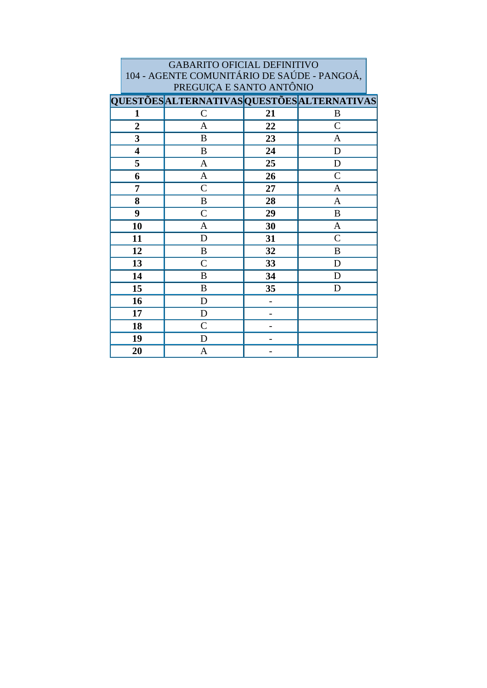| <b>GABARITO OFICIAL DEFINITIVO</b>                 |                |    |                |  |  |
|----------------------------------------------------|----------------|----|----------------|--|--|
| 104 - AGENTE COMUNITÁRIO DE SAÚDE - PANGOÁ,        |                |    |                |  |  |
| PREGUIÇA E SANTO ANTÔNIO                           |                |    |                |  |  |
| <b>QUESTÕES ALTERNATIVAS QUESTÕES ALTERNATIVAS</b> |                |    |                |  |  |
| 1                                                  | $\mathcal{C}$  | 21 | B              |  |  |
| $\overline{2}$                                     | A              | 22 | $\mathcal{C}$  |  |  |
| 3                                                  | B              | 23 | A              |  |  |
| $\overline{\mathbf{4}}$                            | $\bf{B}$       | 24 | D              |  |  |
| 5                                                  | A              | 25 | D              |  |  |
| 6                                                  | $\mathbf{A}$   | 26 | $\overline{C}$ |  |  |
| 7                                                  | $\mathcal{C}$  | 27 | A              |  |  |
| 8                                                  | B              | 28 | A              |  |  |
| 9                                                  | $\mathcal{C}$  | 29 | B              |  |  |
| 10                                                 | $\mathbf{A}$   | 30 | $\mathbf{A}$   |  |  |
| 11                                                 | D              | 31 | $\overline{C}$ |  |  |
| 12                                                 | B              | 32 | B              |  |  |
| 13                                                 | $\overline{C}$ | 33 | D              |  |  |
| 14                                                 | B              | 34 | D              |  |  |
| 15                                                 | B              | 35 | D              |  |  |
| 16                                                 | D              |    |                |  |  |
| 17                                                 | D              |    |                |  |  |
| 18                                                 | $\mathcal{C}$  |    |                |  |  |
| 19                                                 | D              |    |                |  |  |
| 20                                                 | A              |    |                |  |  |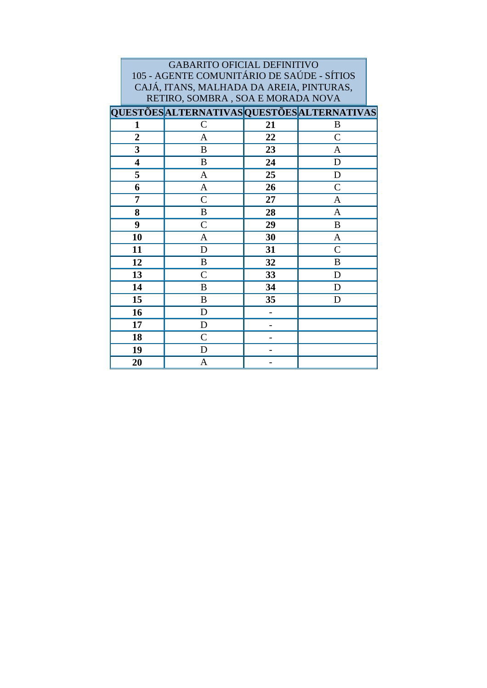| <b>GABARITO OFICIAL DEFINITIVO</b><br>105 - AGENTE COMUNITÁRIO DE SAÚDE - SÍTIOS |                                             |    |                |  |  |
|----------------------------------------------------------------------------------|---------------------------------------------|----|----------------|--|--|
| CAJÁ, ITANS, MALHADA DA AREIA, PINTURAS,<br>RETIRO, SOMBRA, SOA E MORADA NOVA    |                                             |    |                |  |  |
|                                                                                  | QUESTÕES ALTERNATIVAS QUESTÕES ALTERNATIVAS |    |                |  |  |
| 1                                                                                | $\mathsf{C}$                                | 21 | B              |  |  |
| $\overline{2}$                                                                   | A                                           | 22 | $\mathsf{C}$   |  |  |
| 3                                                                                | B                                           | 23 | $\mathbf{A}$   |  |  |
| $\overline{\mathbf{4}}$                                                          | B                                           | 24 | D              |  |  |
| 5                                                                                | A                                           | 25 | D              |  |  |
| 6                                                                                | $\overline{A}$                              | 26 | $\mathcal{C}$  |  |  |
| 7                                                                                | $\overline{C}$                              | 27 | $\mathbf{A}$   |  |  |
| 8                                                                                | B                                           | 28 | $\overline{A}$ |  |  |
| 9                                                                                | $\mathsf{C}$                                | 29 | B              |  |  |
| 10                                                                               | A                                           | 30 | $\mathbf{A}$   |  |  |
| 11                                                                               | D                                           | 31 | $\mathcal{C}$  |  |  |
| 12                                                                               | B                                           | 32 | B              |  |  |
| 13                                                                               | $\overline{C}$                              | 33 | D              |  |  |
| 14                                                                               | B                                           | 34 | D              |  |  |
| 15                                                                               | B                                           | 35 | D              |  |  |
| 16                                                                               | D                                           |    |                |  |  |
| 17                                                                               | D                                           |    |                |  |  |
| 18                                                                               | $\overline{C}$                              |    |                |  |  |
| 19                                                                               | D                                           |    |                |  |  |
| 20                                                                               | A                                           |    |                |  |  |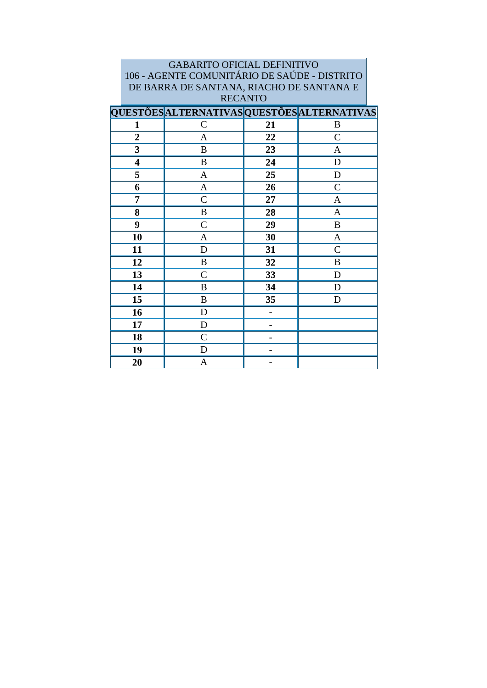| <b>GABARITO OFICIAL DEFINITIVO</b>                 |                                          |    |                |  |  |  |
|----------------------------------------------------|------------------------------------------|----|----------------|--|--|--|
| 106 - AGENTE COMUNITÁRIO DE SAÚDE - DISTRITO       |                                          |    |                |  |  |  |
|                                                    | DE BARRA DE SANTANA, RIACHO DE SANTANA E |    |                |  |  |  |
| <b>RECANTO</b>                                     |                                          |    |                |  |  |  |
| <b>QUESTÕES ALTERNATIVAS QUESTÕES ALTERNATIVAS</b> |                                          |    |                |  |  |  |
| 1                                                  | $\mathsf{C}$                             | 21 | B              |  |  |  |
| $\overline{2}$                                     | A                                        | 22 | $\overline{C}$ |  |  |  |
| 3                                                  | B                                        | 23 | $\mathbf{A}$   |  |  |  |
| $\overline{\mathbf{4}}$                            | B                                        | 24 | D              |  |  |  |
| 5                                                  | A                                        | 25 | D              |  |  |  |
| 6                                                  | A                                        | 26 | $\overline{C}$ |  |  |  |
| 7                                                  | $\mathsf{C}$                             | 27 | A              |  |  |  |
| 8                                                  | B                                        | 28 | A              |  |  |  |
| 9                                                  | $\mathcal{C}$                            | 29 | B              |  |  |  |
| 10                                                 | A                                        | 30 | $\mathbf{A}$   |  |  |  |
| 11                                                 | D                                        | 31 | $\mathcal{C}$  |  |  |  |
| 12                                                 | B                                        | 32 | B              |  |  |  |
| 13                                                 | $\overline{C}$                           | 33 | D              |  |  |  |
| 14                                                 | B                                        | 34 | D              |  |  |  |
| 15                                                 | B                                        | 35 | D              |  |  |  |
| 16                                                 | D                                        |    |                |  |  |  |
| 17                                                 | D                                        |    |                |  |  |  |
| 18                                                 | $\mathsf{C}$                             |    |                |  |  |  |
| 19                                                 | D                                        |    |                |  |  |  |
| 20                                                 | A                                        |    |                |  |  |  |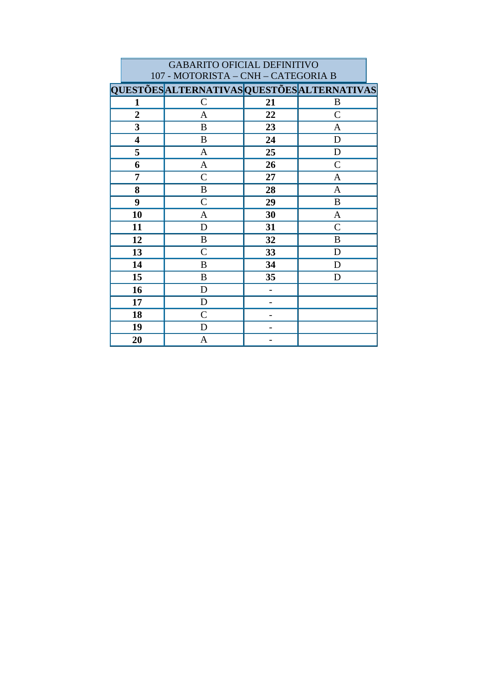|                | <b>GABARITO OFICIAL DEFINITIVO</b>          |    |                  |  |  |  |
|----------------|---------------------------------------------|----|------------------|--|--|--|
|                | 107 - MOTORISTA - CNH - CATEGORIA B         |    |                  |  |  |  |
|                | QUESTÕES ALTERNATIVAS QUESTÕES ALTERNATIVAS |    |                  |  |  |  |
| $\mathbf{1}$   | $\mathbf C$                                 | 21 | B                |  |  |  |
| $\overline{2}$ | A                                           | 22 | $\mathcal{C}$    |  |  |  |
| 3              | B                                           | 23 | A                |  |  |  |
| 4              | B                                           | 24 | D                |  |  |  |
| 5              | A                                           | 25 | D                |  |  |  |
| 6              | A                                           | 26 | $\mathsf{C}$     |  |  |  |
| 7              | $\mathcal{C}$                               | 27 | A                |  |  |  |
| 8              | B                                           | 28 | $\mathbf{A}$     |  |  |  |
| 9              | $\overline{C}$                              | 29 | $\boldsymbol{B}$ |  |  |  |
| 10             | A                                           | 30 | $\mathbf{A}$     |  |  |  |
| 11             | D                                           | 31 | $\mathsf{C}$     |  |  |  |
| 12             | $\boldsymbol{B}$                            | 32 | B                |  |  |  |
| 13             | $\mathcal{C}$                               | 33 | D                |  |  |  |
| 14             | B                                           | 34 | D                |  |  |  |
| 15             | $\boldsymbol{B}$                            | 35 | D                |  |  |  |
| 16             | D                                           | -  |                  |  |  |  |
| 17             | D                                           |    |                  |  |  |  |
| 18             | $\mathcal{C}$                               |    |                  |  |  |  |
| 19             | D                                           |    |                  |  |  |  |
| 20             | A                                           |    |                  |  |  |  |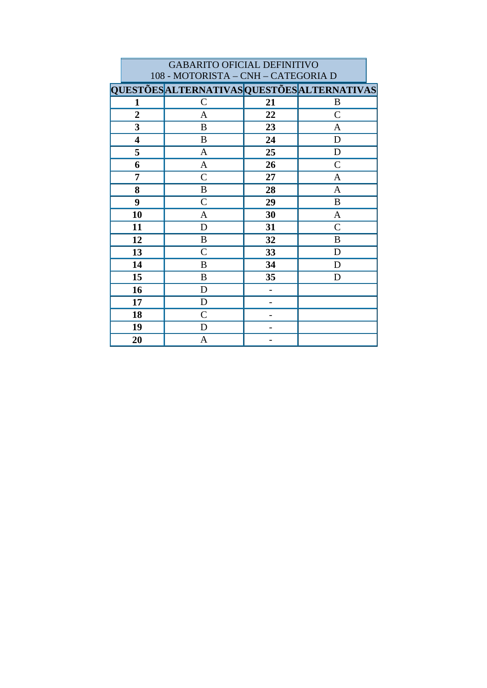|                         | <b>GABARITO OFICIAL DEFINITIVO</b><br>108 - MOTORISTA – CNH – CATEGORIA D |    |                |  |  |
|-------------------------|---------------------------------------------------------------------------|----|----------------|--|--|
|                         | QUESTÕES ALTERNATIVAS QUESTÕES ALTERNATIVAS                               |    |                |  |  |
| 1                       | $\mathcal{C}$                                                             | 21 | B              |  |  |
| $\overline{2}$          | A                                                                         | 22 | $\overline{C}$ |  |  |
| $\overline{\mathbf{3}}$ | B                                                                         | 23 | A              |  |  |
| $\overline{\mathbf{4}}$ | B                                                                         | 24 | D              |  |  |
| 5                       | A                                                                         | 25 | D              |  |  |
| 6                       | A                                                                         | 26 | $\overline{C}$ |  |  |
| 7                       | $\mathsf{C}$                                                              | 27 | A              |  |  |
| 8                       | B                                                                         | 28 | $\mathbf{A}$   |  |  |
| 9                       | $\mathsf{C}$                                                              | 29 | B              |  |  |
| 10                      | $\mathbf{A}$                                                              | 30 | $\mathbf{A}$   |  |  |
| 11                      | D                                                                         | 31 | $\mathcal{C}$  |  |  |
| 12                      | B                                                                         | 32 | B              |  |  |
| 13                      | $\mathcal{C}$                                                             | 33 | D              |  |  |
| 14                      | B                                                                         | 34 | D              |  |  |
| 15                      | B                                                                         | 35 | D              |  |  |
| 16                      | D                                                                         |    |                |  |  |
| 17                      | D                                                                         |    |                |  |  |
| 18                      | $\overline{C}$                                                            |    |                |  |  |
| 19                      | D                                                                         |    |                |  |  |
| 20                      | A                                                                         |    |                |  |  |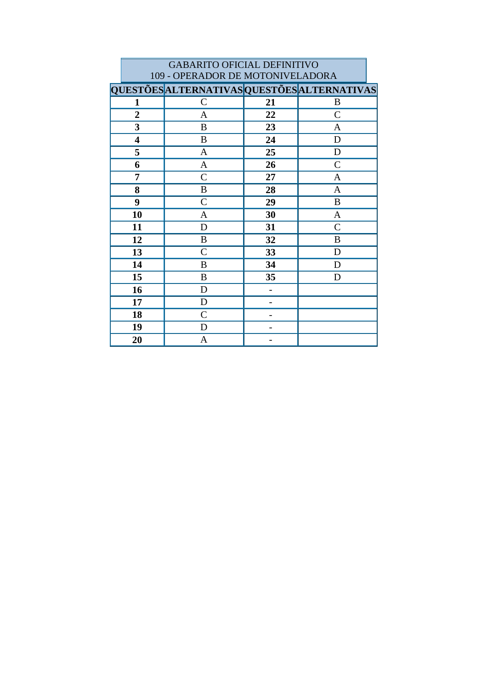|                | <b>GABARITO OFICIAL DEFINITIVO</b>          |    |                |  |  |  |
|----------------|---------------------------------------------|----|----------------|--|--|--|
|                | 109 - OPERADOR DE MOTONIVELADORA            |    |                |  |  |  |
|                | QUESTÕES ALTERNATIVAS QUESTÕES ALTERNATIVAS |    |                |  |  |  |
| 1              | $\mathcal{C}$                               | 21 | B              |  |  |  |
| $\overline{2}$ | A                                           | 22 | $\mathsf{C}$   |  |  |  |
| 3              | B                                           | 23 | A              |  |  |  |
| 4              | B                                           | 24 | D              |  |  |  |
| 5              | A                                           | 25 | D              |  |  |  |
| 6              | $\mathbf{A}$                                | 26 | $\overline{C}$ |  |  |  |
| 7              | $\mathsf{C}$                                | 27 | A              |  |  |  |
| 8              | B                                           | 28 | A              |  |  |  |
| 9              | $\mathsf{C}$                                | 29 | B              |  |  |  |
| 10             | $\mathbf{A}$                                | 30 | $\mathbf{A}$   |  |  |  |
| 11             | D                                           | 31 | $\mathcal{C}$  |  |  |  |
| 12             | B                                           | 32 | B              |  |  |  |
| 13             | $\overline{C}$                              | 33 | D              |  |  |  |
| 14             | B                                           | 34 | D              |  |  |  |
| 15             | B                                           | 35 | D              |  |  |  |
| 16             | D                                           |    |                |  |  |  |
| 17             | D                                           |    |                |  |  |  |
| 18             | $\mathcal{C}$                               |    |                |  |  |  |
| 19             | D                                           |    |                |  |  |  |
| 20             | A                                           |    |                |  |  |  |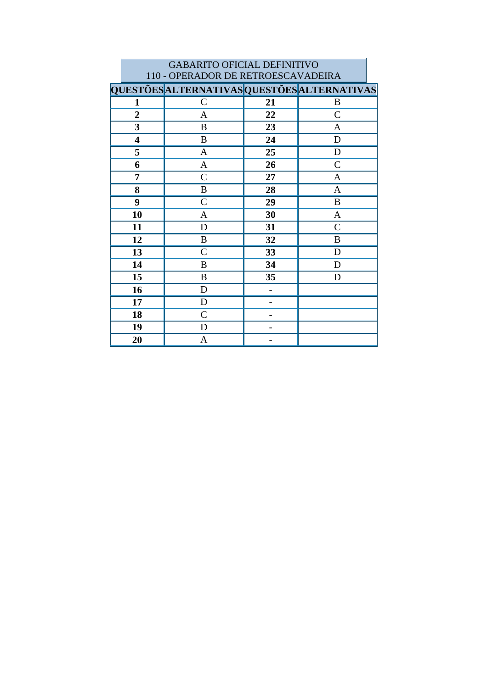|                | <b>GABARITO OFICIAL DEFINITIVO</b>                 |    |                |  |  |  |
|----------------|----------------------------------------------------|----|----------------|--|--|--|
|                | 110 - OPERADOR DE RETROESCAVADEIRA                 |    |                |  |  |  |
|                | <b>QUESTÕES ALTERNATIVAS QUESTÕES ALTERNATIVAS</b> |    |                |  |  |  |
| 1              | $\mathcal{C}$                                      | 21 | $\bf{B}$       |  |  |  |
| $\overline{2}$ | $\mathbf{A}$                                       | 22 | $\overline{C}$ |  |  |  |
| 3              | B                                                  | 23 | A              |  |  |  |
| 4              | B                                                  | 24 | D              |  |  |  |
| 5              | $\mathbf{A}$                                       | 25 | D              |  |  |  |
| 6              | $\mathbf{A}$                                       | 26 | $\overline{C}$ |  |  |  |
| 7              | $\mathcal{C}$                                      | 27 | A              |  |  |  |
| 8              | B                                                  | 28 | A              |  |  |  |
| 9              | $\mathcal{C}$                                      | 29 | B              |  |  |  |
| 10             | A                                                  | 30 | A              |  |  |  |
| 11             | D                                                  | 31 | $\mathbf C$    |  |  |  |
| 12             | B                                                  | 32 | B              |  |  |  |
| 13             | $\mathcal{C}$                                      | 33 | D              |  |  |  |
| 14             | B                                                  | 34 | D              |  |  |  |
| 15             | B                                                  | 35 | D              |  |  |  |
| 16             | D                                                  | -  |                |  |  |  |
| 17             | D                                                  |    |                |  |  |  |
| 18             | $\mathcal{C}$                                      |    |                |  |  |  |
| 19             | D                                                  |    |                |  |  |  |
| 20             | A                                                  |    |                |  |  |  |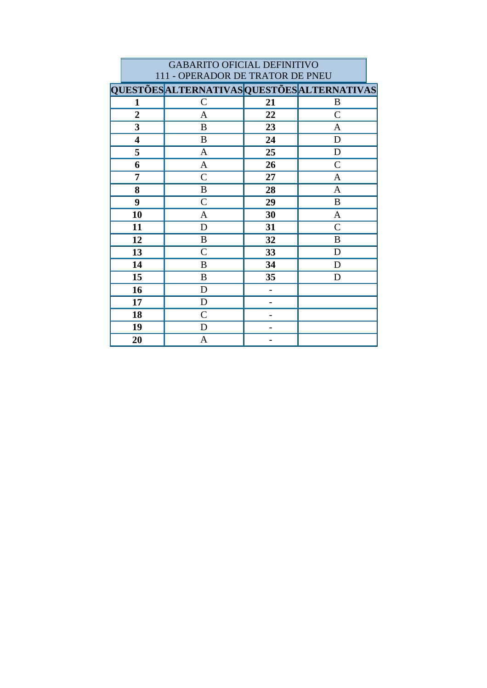|                         | <b>GABARITO OFICIAL DEFINITIVO</b>          |    |              |  |  |  |
|-------------------------|---------------------------------------------|----|--------------|--|--|--|
|                         | 111 - OPERADOR DE TRATOR DE PNEU            |    |              |  |  |  |
|                         | QUESTÕES ALTERNATIVAS QUESTÕES ALTERNATIVAS |    |              |  |  |  |
| $\mathbf{1}$            | $\mathcal{C}$                               | 21 | B            |  |  |  |
| $\overline{2}$          | A                                           | 22 | $\mathsf{C}$ |  |  |  |
| 3                       | B                                           | 23 | A            |  |  |  |
| $\overline{\mathbf{4}}$ | B                                           | 24 | D            |  |  |  |
| 5                       | A                                           | 25 | D            |  |  |  |
| 6                       | $\mathbf{A}$                                | 26 | $\mathbf C$  |  |  |  |
| 7                       | $\mathsf{C}$                                | 27 | $\mathbf{A}$ |  |  |  |
| 8                       | B                                           | 28 | A            |  |  |  |
| 9                       | $\mathsf{C}$                                | 29 | B            |  |  |  |
| 10                      | $\mathbf{A}$                                | 30 | $\mathbf{A}$ |  |  |  |
| 11                      | D                                           | 31 | $\mathsf{C}$ |  |  |  |
| 12                      | B                                           | 32 | B            |  |  |  |
| 13                      | $\overline{C}$                              | 33 | D            |  |  |  |
| 14                      | B                                           | 34 | D            |  |  |  |
| 15                      | B                                           | 35 | D            |  |  |  |
| 16                      | D                                           |    |              |  |  |  |
| 17                      | D                                           |    |              |  |  |  |
| 18                      | $\overline{C}$                              |    |              |  |  |  |
| 19                      | D                                           |    |              |  |  |  |
| 20                      | A                                           |    |              |  |  |  |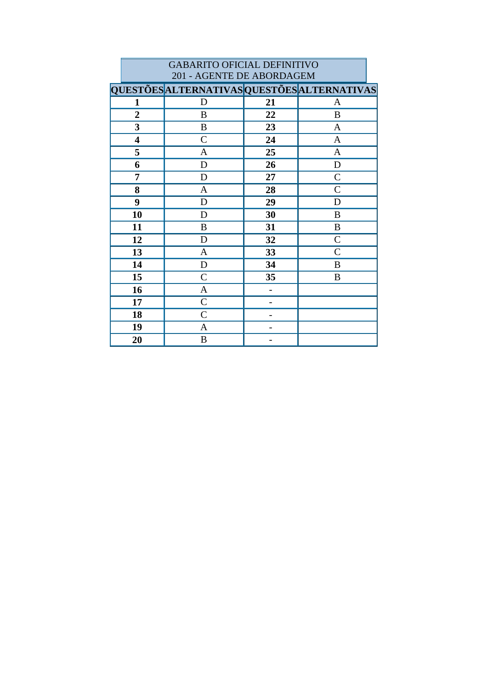|                           | <b>GABARITO OFICIAL DEFINITIVO</b>          |    |                |  |  |
|---------------------------|---------------------------------------------|----|----------------|--|--|
| 201 - AGENTE DE ABORDAGEM |                                             |    |                |  |  |
|                           | QUESTÕES ALTERNATIVAS QUESTÕES ALTERNATIVAS |    |                |  |  |
| 1                         | D                                           | 21 | A              |  |  |
| $\overline{2}$            | B                                           | 22 | B              |  |  |
| 3                         | B                                           | 23 | $\mathbf{A}$   |  |  |
| 4                         | $\mathcal{C}$                               | 24 | A              |  |  |
| 5                         | A                                           | 25 | $\mathbf{A}$   |  |  |
| 6                         | D                                           | 26 | D              |  |  |
| 7                         | D                                           | 27 | $\mathcal{C}$  |  |  |
| 8                         | A                                           | 28 | $\mathcal{C}$  |  |  |
| 9                         | D                                           | 29 | D              |  |  |
| 10                        | D                                           | 30 | B              |  |  |
| 11                        | B                                           | 31 | B              |  |  |
| 12                        | D                                           | 32 | $\overline{C}$ |  |  |
| 13                        | A                                           | 33 | $\mathcal{C}$  |  |  |
| 14                        | $\mathbf D$                                 | 34 | B              |  |  |
| 15                        | $\mathsf{C}$                                | 35 | B              |  |  |
| 16                        | A                                           |    |                |  |  |
| 17                        | $\overline{C}$                              |    |                |  |  |
| 18                        | $\mathcal{C}$                               |    |                |  |  |
| 19                        | A                                           |    |                |  |  |
| 20                        | $\boldsymbol{B}$                            |    |                |  |  |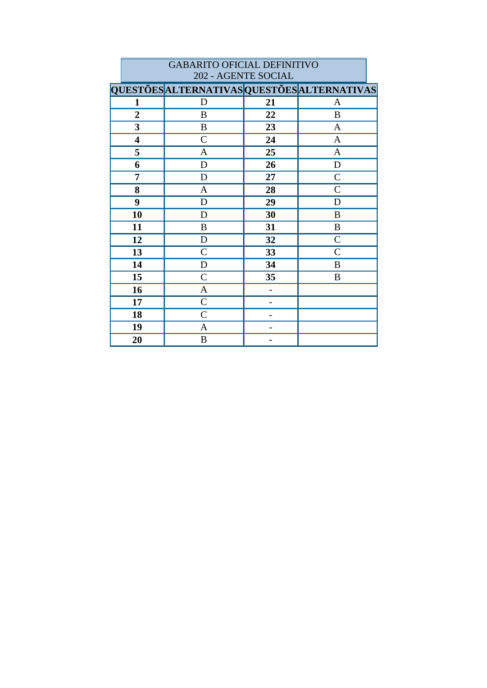|                         | 202 - AGENTE SOCIAL                         |    |               |  |  |
|-------------------------|---------------------------------------------|----|---------------|--|--|
|                         | QUESTÕES ALTERNATIVAS QUESTÕES ALTERNATIVAS |    |               |  |  |
| 1                       | D                                           | 21 | $\mathbf{A}$  |  |  |
| $\overline{2}$          | $\, {\bf B}$                                | 22 | $\, {\bf B}$  |  |  |
| 3                       | B                                           | 23 | A             |  |  |
| $\overline{\mathbf{4}}$ | $\mathsf{C}$                                | 24 | $\mathbf{A}$  |  |  |
| 5                       | A                                           | 25 | $\mathbf{A}$  |  |  |
| 6                       | $\mathbf D$                                 | 26 | $\mathbf D$   |  |  |
| 7                       | D                                           | 27 | $\mathcal{C}$ |  |  |
| 8                       | $\mathbf{A}$                                | 28 | $\mathcal{C}$ |  |  |
| 9                       | D                                           | 29 | D             |  |  |
| 10                      | D                                           | 30 | B             |  |  |
| 11                      | B                                           | 31 | $\bf{B}$      |  |  |
| 12                      | $\mathbf D$                                 | 32 | $\mathcal{C}$ |  |  |
| 13                      | $\mathcal{C}$                               | 33 | $\mathcal{C}$ |  |  |
| 14                      | $\mathbf D$                                 | 34 | B             |  |  |
| 15                      | $\mathcal{C}$                               | 35 | B             |  |  |
| 16                      | $\mathbf{A}$                                |    |               |  |  |
| 17                      | $\mathcal{C}$                               |    |               |  |  |
| 18                      | $\mathsf{C}$                                |    |               |  |  |
| 19                      | $\mathbf{A}$                                |    |               |  |  |
| 20                      | $\, {\bf B}$                                |    |               |  |  |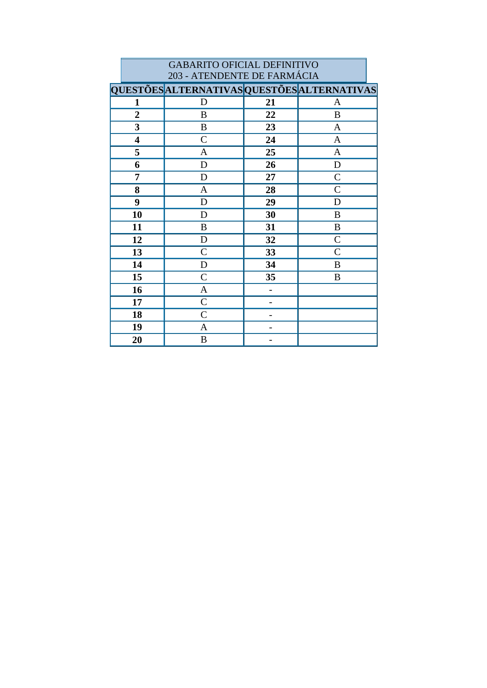|                         | <b>GABARITO OFICIAL DEFINITIVO</b><br>203 - ATENDENTE DE FARMÁCIA |    |               |  |  |
|-------------------------|-------------------------------------------------------------------|----|---------------|--|--|
|                         | <b>QUESTÕES ALTERNATIVAS QUESTÕES ALTERNATIVAS</b>                |    |               |  |  |
| 1                       | D                                                                 | 21 | A             |  |  |
| $\overline{2}$          | B                                                                 | 22 | B             |  |  |
| 3                       | B                                                                 | 23 | $\mathbf{A}$  |  |  |
| $\overline{\mathbf{4}}$ | $\overline{C}$                                                    | 24 | A             |  |  |
| 5                       | A                                                                 | 25 | A             |  |  |
| 6                       | D                                                                 | 26 | D             |  |  |
| 7                       | D                                                                 | 27 | $\mathcal{C}$ |  |  |
| 8                       | A                                                                 | 28 | $\mathcal{C}$ |  |  |
| 9                       | D                                                                 | 29 | D             |  |  |
| 10                      | D                                                                 | 30 | B             |  |  |
| 11                      | B                                                                 | 31 | B             |  |  |
| 12                      | D                                                                 | 32 | $\mathcal{C}$ |  |  |
| 13                      | $\mathcal{C}$                                                     | 33 | $\mathsf{C}$  |  |  |
| 14                      | D                                                                 | 34 | B             |  |  |
| 15                      | $\mathsf{C}$                                                      | 35 | B             |  |  |
| 16                      | A                                                                 |    |               |  |  |
| 17                      | $\overline{C}$                                                    |    |               |  |  |
| 18                      | $\mathcal{C}$                                                     |    |               |  |  |
| 19                      | A                                                                 |    |               |  |  |
| 20                      | B                                                                 |    |               |  |  |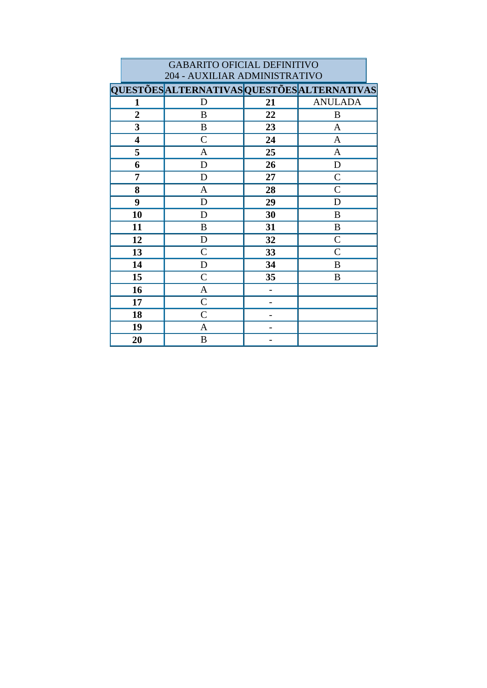|                | <b>GABARITO OFICIAL DEFINITIVO</b>          |    |                |  |  |  |
|----------------|---------------------------------------------|----|----------------|--|--|--|
|                | 204 - AUXILIAR ADMINISTRATIVO               |    |                |  |  |  |
|                | QUESTÕES ALTERNATIVAS QUESTÕES ALTERNATIVAS |    |                |  |  |  |
| 1              | D                                           | 21 | <b>ANULADA</b> |  |  |  |
| $\overline{2}$ | B                                           | 22 | B              |  |  |  |
| 3              | B                                           | 23 | A              |  |  |  |
| 4              | $\overline{C}$                              | 24 | A              |  |  |  |
| 5              | A                                           | 25 | A              |  |  |  |
| 6              | D                                           | 26 | D              |  |  |  |
| 7              | D                                           | 27 | $\mathcal{C}$  |  |  |  |
| 8              | A                                           | 28 | $\mathsf{C}$   |  |  |  |
| 9              | D                                           | 29 | D              |  |  |  |
| 10             | D                                           | 30 | B              |  |  |  |
| 11             | B                                           | 31 | B              |  |  |  |
| 12             | D                                           | 32 | $\overline{C}$ |  |  |  |
| 13             | $\overline{C}$                              | 33 | $\overline{C}$ |  |  |  |
| 14             | D                                           | 34 | B              |  |  |  |
| 15             | $\overline{C}$                              | 35 | B              |  |  |  |
| 16             | A                                           |    |                |  |  |  |
| 17             | $\overline{C}$                              |    |                |  |  |  |
| 18             | $\overline{C}$                              |    |                |  |  |  |
| 19             | A                                           |    |                |  |  |  |
| 20             | B                                           |    |                |  |  |  |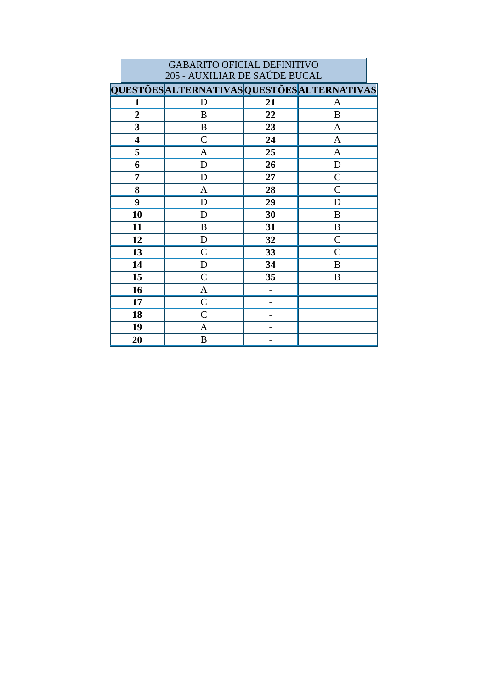| 205 - AUXILIAR DE SAUDE BUCAL |                                             |    |               |
|-------------------------------|---------------------------------------------|----|---------------|
|                               | QUESTÕES ALTERNATIVAS QUESTÕES ALTERNATIVAS |    |               |
| 1                             | D                                           | 21 | A             |
| $\overline{2}$                | B                                           | 22 | B             |
| $\overline{\mathbf{3}}$       | B                                           | 23 | $\mathbf{A}$  |
| $\overline{\mathbf{4}}$       | $\mathsf{C}$                                | 24 | $\mathbf{A}$  |
| 5                             | A                                           | 25 | $\mathbf{A}$  |
| 6                             | D                                           | 26 | D             |
| 7                             | D                                           | 27 | $\mathsf{C}$  |
| 8                             | $\mathbf{A}$                                | 28 | $\mathcal{C}$ |
| 9                             | $\mathbf D$                                 | 29 | D             |
| 10                            | D                                           | 30 | B             |
| 11                            | $\boldsymbol{B}$                            | 31 | B             |
| 12                            | D                                           | 32 | $\mathcal{C}$ |
| 13                            | $\mathcal{C}$                               | 33 | $\mathsf{C}$  |
| 14                            | D                                           | 34 | B             |
| 15                            | $\mathcal{C}$                               | 35 | B             |
| 16                            | $\mathbf{A}$                                |    |               |
| 17                            | $\mathcal{C}$                               |    |               |
| 18                            | $\mathsf{C}$                                |    |               |
| 19                            | $\mathbf{A}$                                |    |               |
| 20                            | $\boldsymbol{B}$                            |    |               |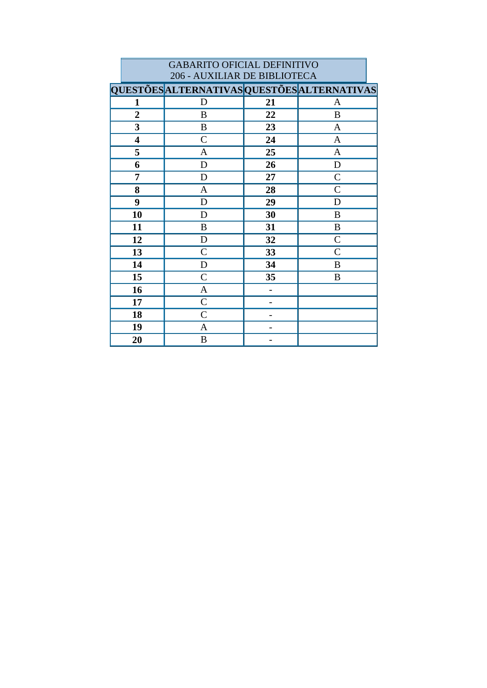|                         | <b>GABARITO OFICIAL DEFINITIVO</b><br>206 - AUXILIAR DE BIBLIOTECA |    |                |  |  |
|-------------------------|--------------------------------------------------------------------|----|----------------|--|--|
|                         | QUESTÕES ALTERNATIVAS QUESTÕES ALTERNATIVAS                        |    |                |  |  |
| 1                       | D                                                                  | 21 | A              |  |  |
| $\overline{2}$          | B                                                                  | 22 | B              |  |  |
| 3                       | B                                                                  | 23 | A              |  |  |
| $\overline{\mathbf{4}}$ | $\mathcal{C}$                                                      | 24 | A              |  |  |
| 5                       | A                                                                  | 25 | A              |  |  |
| 6                       | D                                                                  | 26 | D              |  |  |
| 7                       | D                                                                  | 27 | $\overline{C}$ |  |  |
| 8                       | A                                                                  | 28 | $\overline{C}$ |  |  |
| 9                       | D                                                                  | 29 | D              |  |  |
| 10                      | D                                                                  | 30 | B              |  |  |
| 11                      | B                                                                  | 31 | B              |  |  |
| 12                      | D                                                                  | 32 | $\overline{C}$ |  |  |
| 13                      | $\mathcal{C}$                                                      | 33 | $\mathcal{C}$  |  |  |
| 14                      | D                                                                  | 34 | B              |  |  |
| 15                      | $\mathsf{C}$                                                       | 35 | B              |  |  |
| 16                      | A                                                                  |    |                |  |  |
| 17                      | $\overline{C}$                                                     |    |                |  |  |
| 18                      | $\overline{C}$                                                     |    |                |  |  |
| 19                      | A                                                                  | -  |                |  |  |
| 20                      | $\boldsymbol{B}$                                                   |    |                |  |  |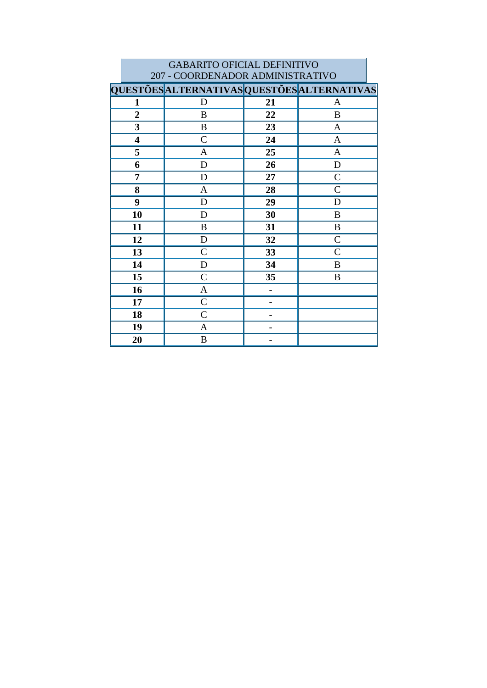|                | <b>GABARITO OFICIAL DEFINITIVO</b>          |    |                |  |  |  |
|----------------|---------------------------------------------|----|----------------|--|--|--|
|                | 207 - COORDENADOR ADMINISTRATIVO            |    |                |  |  |  |
|                | QUESTÕES ALTERNATIVAS QUESTÕES ALTERNATIVAS |    |                |  |  |  |
| 1              | D                                           | 21 | A              |  |  |  |
| $\overline{2}$ | B                                           | 22 | B              |  |  |  |
| 3              | B                                           | 23 | $\mathbf{A}$   |  |  |  |
| 4              | $\mathcal{C}$                               | 24 | A              |  |  |  |
| 5              | A                                           | 25 | A              |  |  |  |
| 6              | D                                           | 26 | D              |  |  |  |
| 7              | D                                           | 27 | $\mathcal{C}$  |  |  |  |
| 8              | A                                           | 28 | $\mathsf{C}$   |  |  |  |
| 9              | D                                           | 29 | D              |  |  |  |
| 10             | D                                           | 30 | B              |  |  |  |
| 11             | B                                           | 31 | B              |  |  |  |
| 12             | D                                           | 32 | $\overline{C}$ |  |  |  |
| 13             | $\overline{C}$                              | 33 | $\overline{C}$ |  |  |  |
| 14             | D                                           | 34 | B              |  |  |  |
| 15             | $\mathsf{C}$                                | 35 | B              |  |  |  |
| 16             | A                                           |    |                |  |  |  |
| 17             | $\mathcal{C}$                               |    |                |  |  |  |
| 18             | $\overline{C}$                              |    |                |  |  |  |
| 19             | A                                           |    |                |  |  |  |
| 20             | B                                           |    |                |  |  |  |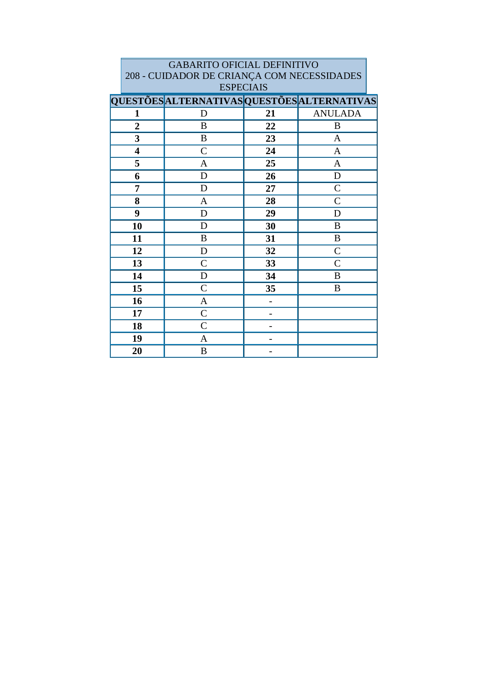| <b>GABARITO OFICIAL DEFINITIVO</b>         |                                                    |    |                |  |
|--------------------------------------------|----------------------------------------------------|----|----------------|--|
| 208 - CUIDADOR DE CRIANÇA COM NECESSIDADES |                                                    |    |                |  |
| <b>ESPECIAIS</b>                           |                                                    |    |                |  |
|                                            | <b>QUESTÕES ALTERNATIVAS QUESTÕES ALTERNATIVAS</b> |    |                |  |
| 1                                          | D                                                  | 21 | <b>ANULADA</b> |  |
| $\overline{2}$                             | B                                                  | 22 | B              |  |
| 3                                          | B                                                  | 23 | A              |  |
| $\overline{\mathbf{4}}$                    | $\mathcal{C}$                                      | 24 | A              |  |
| 5                                          | A                                                  | 25 | A              |  |
| 6                                          | D                                                  | 26 | D              |  |
| 7                                          | D                                                  | 27 | $\mathcal{C}$  |  |
| 8                                          | $\mathbf{A}$                                       | 28 | $\mathsf{C}$   |  |
| 9                                          | D                                                  | 29 | D              |  |
| 10                                         | D                                                  | 30 | $\bf{B}$       |  |
| 11                                         | B                                                  | 31 | B              |  |
| 12                                         | D                                                  | 32 | $\mathcal{C}$  |  |
| 13                                         | $\overline{C}$                                     | 33 | $\overline{C}$ |  |
| 14                                         | D                                                  | 34 | B              |  |
| 15                                         | $\mathsf{C}$                                       | 35 | B              |  |
| 16                                         | A                                                  |    |                |  |
| 17                                         | $\overline{C}$                                     |    |                |  |
| 18                                         | $\mathcal{C}$                                      |    |                |  |
| 19                                         | A                                                  |    |                |  |
| 20                                         | B                                                  |    |                |  |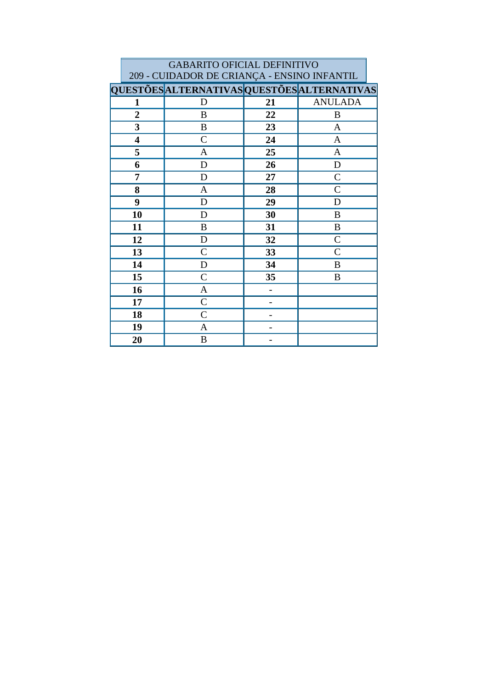| <b>GABARITO OFICIAL DEFINITIVO</b>          |                                             |    |                |  |
|---------------------------------------------|---------------------------------------------|----|----------------|--|
| 209 - CUIDADOR DE CRIANÇA - ENSINO INFANTIL |                                             |    |                |  |
|                                             | QUESTÕES ALTERNATIVAS QUESTÕES ALTERNATIVAS |    |                |  |
| $\mathbf{1}$                                | D                                           | 21 | <b>ANULADA</b> |  |
| $\overline{2}$                              | B                                           | 22 | B              |  |
| $\overline{\mathbf{3}}$                     | B                                           | 23 | A              |  |
| 4                                           | $\mathcal{C}$                               | 24 | A              |  |
| 5                                           | $\mathbf{A}$                                | 25 | $\mathbf{A}$   |  |
| 6                                           | D                                           | 26 | $\mathbf D$    |  |
| 7                                           | D                                           | 27 | $\mathcal{C}$  |  |
| 8                                           | $\mathbf{A}$                                | 28 | $\mathcal{C}$  |  |
| 9                                           | D                                           | 29 | D              |  |
| 10                                          | D                                           | 30 | B              |  |
| 11                                          | $\bf{B}$                                    | 31 | B              |  |
| 12                                          | D                                           | 32 | $\overline{C}$ |  |
| 13                                          | $\mathcal{C}$                               | 33 | $\mathcal{C}$  |  |
| 14                                          | D                                           | 34 | B              |  |
| 15                                          | $\mathcal{C}$                               | 35 | B              |  |
| 16                                          | A                                           |    |                |  |
| 17                                          | $\mathcal{C}$                               |    |                |  |
| 18                                          | $\mathcal{C}$                               |    |                |  |
| 19                                          | A                                           |    |                |  |
| 20                                          | $\, {\bf B}$                                |    |                |  |

L,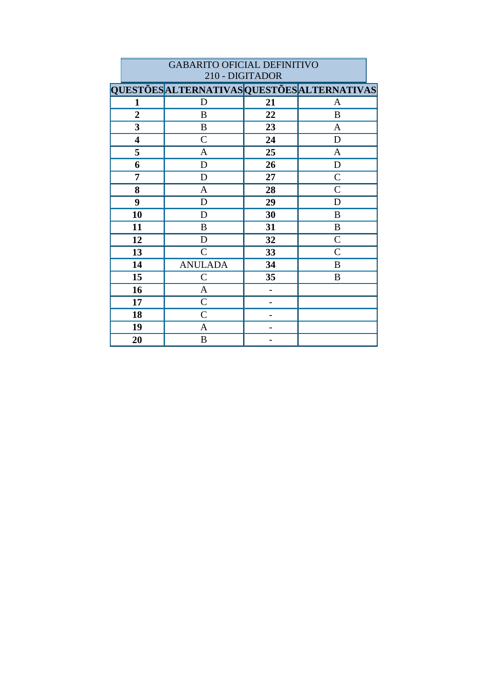|                         | 210 - DIGITADOR                             |    |                  |  |  |
|-------------------------|---------------------------------------------|----|------------------|--|--|
|                         | QUESTÕES ALTERNATIVAS QUESTÕES ALTERNATIVAS |    |                  |  |  |
| 1                       | D                                           | 21 | A                |  |  |
| $\overline{2}$          | $\boldsymbol{B}$                            | 22 | B                |  |  |
| 3                       | $\bf{B}$                                    | 23 | A                |  |  |
| $\overline{\mathbf{4}}$ | $\mathcal{C}$                               | 24 | $\mathbf D$      |  |  |
| 5                       | $\mathbf{A}$                                | 25 | $\mathbf{A}$     |  |  |
| 6                       | D                                           | 26 | $\mathbf D$      |  |  |
| 7                       | D                                           | 27 | $\mathcal{C}$    |  |  |
| 8                       | A                                           | 28 | $\mathcal{C}$    |  |  |
| 9                       | $\mathbf D$                                 | 29 | D                |  |  |
| 10                      | D                                           | 30 | $\boldsymbol{B}$ |  |  |
| 11                      | B                                           | 31 | B                |  |  |
| 12                      | D                                           | 32 | $\mathcal{C}$    |  |  |
| 13                      | $\mathcal{C}$                               | 33 | $\mathcal{C}$    |  |  |
| 14                      | <b>ANULADA</b>                              | 34 | B                |  |  |
| 15                      | $\mathcal{C}$                               | 35 | B                |  |  |
| 16                      | A                                           |    |                  |  |  |
| 17                      | $\mathsf{C}$                                |    |                  |  |  |
| 18                      | $\mathcal{C}$                               |    |                  |  |  |
| 19                      | $\mathbf{A}$                                |    |                  |  |  |
| 20                      | B                                           |    |                  |  |  |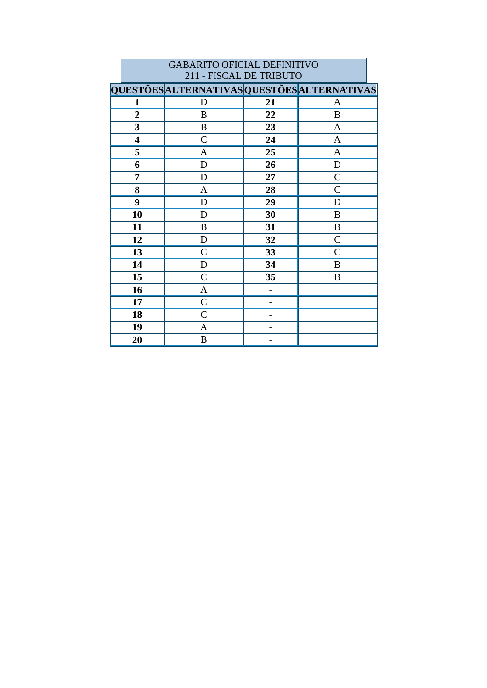|                | <b>GABARITO OFICIAL DEFINITIVO</b><br>211 - FISCAL DE TRIBUTO |                |                |  |  |
|----------------|---------------------------------------------------------------|----------------|----------------|--|--|
|                | <b>QUESTÕES ALTERNATIVAS QUESTÕES ALTERNATIVAS</b>            |                |                |  |  |
| $\mathbf{1}$   | D                                                             | 21             | A              |  |  |
| $\overline{2}$ | B                                                             | 22             | B              |  |  |
| 3              | B                                                             | 23             | A              |  |  |
| 4              | $\mathcal{C}$                                                 | 24             | A              |  |  |
| 5              | A                                                             | 25             | $\mathbf{A}$   |  |  |
| 6              | D                                                             | 26             | D              |  |  |
| 7              | D                                                             | 27             | $\mathcal{C}$  |  |  |
| 8              | $\mathbf{A}$                                                  | 28             | $\mathcal{C}$  |  |  |
| 9              | D                                                             | 29             | D              |  |  |
| 10             | D                                                             | 30             | B              |  |  |
| 11             | B                                                             | 31             | B              |  |  |
| 12             | D                                                             | 32             | $\overline{C}$ |  |  |
| 13             | $\mathsf{C}$                                                  | 33             | $\mathcal{C}$  |  |  |
| 14             | D                                                             | 34             | B              |  |  |
| 15             | $\mathsf{C}$                                                  | 35             | B              |  |  |
| 16             | A                                                             | $\overline{a}$ |                |  |  |
| 17             | $\mathcal{C}$                                                 |                |                |  |  |
| 18             | $\mathcal{C}$                                                 |                |                |  |  |
| 19             | A                                                             |                |                |  |  |
| 20             | B                                                             |                |                |  |  |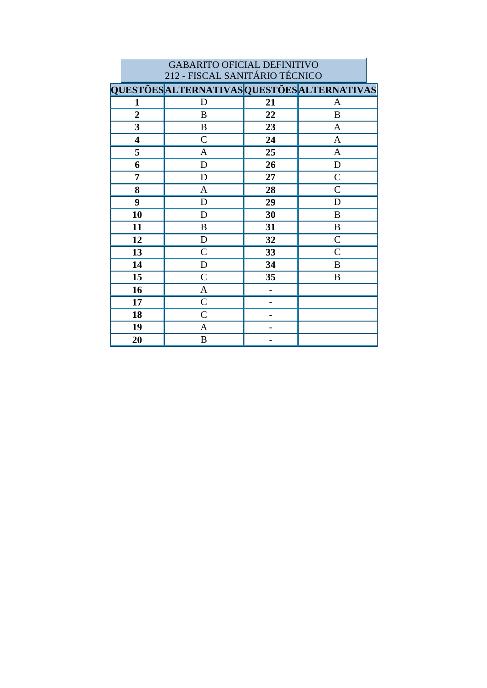| 212 - FISCAL SANITÁRIO TÉCNICO |                                             |    |                  |  |
|--------------------------------|---------------------------------------------|----|------------------|--|
|                                | QUESTÕES ALTERNATIVAS QUESTÕES ALTERNATIVAS |    |                  |  |
| 1                              | D                                           | 21 | A                |  |
| $\overline{2}$                 | $\boldsymbol{B}$                            | 22 | B                |  |
| $\overline{\mathbf{3}}$        | $\boldsymbol{B}$                            | 23 | $\mathbf{A}$     |  |
| 4                              | $\mathcal{C}$                               | 24 | $\mathbf{A}$     |  |
| 5                              | $\mathbf{A}$                                | 25 | $\mathbf{A}$     |  |
| 6                              | $\mathbf D$                                 | 26 | D                |  |
| 7                              | D                                           | 27 | $\mathcal{C}$    |  |
| 8                              | $\mathbf{A}$                                | 28 | $\mathcal{C}$    |  |
| 9                              | $\mathbf D$                                 | 29 | D                |  |
| 10                             | D                                           | 30 | $\boldsymbol{B}$ |  |
| 11                             | B                                           | 31 | $\bf{B}$         |  |
| 12                             | $\mathbf D$                                 | 32 | $\mathcal{C}$    |  |
| 13                             | $\mathcal{C}$                               | 33 | $\mathcal{C}$    |  |
| 14                             | $\mathbf D$                                 | 34 | $\, {\bf B}$     |  |
| 15                             | $\mathcal{C}$                               | 35 | B                |  |
| 16                             | $\mathbf{A}$                                |    |                  |  |
| 17                             | $\mathsf{C}$                                |    |                  |  |
| 18                             | $\mathcal{C}$                               |    |                  |  |
| 19                             | $\mathbf{A}$                                |    |                  |  |
| 20                             | $\, {\bf B}$                                |    |                  |  |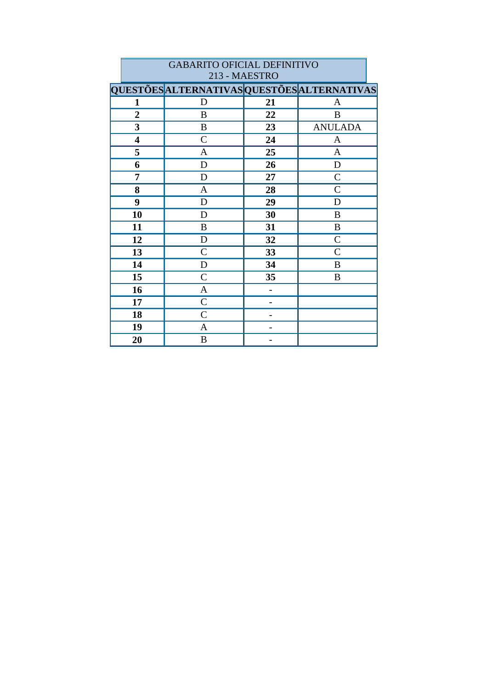|                | <b>GABARITO OFICIAL DEFINITIVO</b>          |    |                |  |  |  |
|----------------|---------------------------------------------|----|----------------|--|--|--|
|                | 213 - MAESTRO                               |    |                |  |  |  |
|                | QUESTÕES ALTERNATIVAS QUESTÕES ALTERNATIVAS |    |                |  |  |  |
| 1              | D                                           | 21 | A              |  |  |  |
| $\overline{2}$ | B                                           | 22 | B              |  |  |  |
| $\mathbf{3}$   | B                                           | 23 | <b>ANULADA</b> |  |  |  |
| 4              | $\mathsf{C}$                                | 24 | A              |  |  |  |
| 5              | A                                           | 25 | A              |  |  |  |
| 6              | $\mathbf D$                                 | 26 | $\mathbf D$    |  |  |  |
| 7              | D                                           | 27 | $\mathcal{C}$  |  |  |  |
| 8              | A                                           | 28 | $\mathcal{C}$  |  |  |  |
| 9              | D                                           | 29 | D              |  |  |  |
| 10             | D                                           | 30 | B              |  |  |  |
| 11             | B                                           | 31 | B              |  |  |  |
| 12             | D                                           | 32 | $\overline{C}$ |  |  |  |
| 13             | $\mathcal{C}$                               | 33 | $\overline{C}$ |  |  |  |
| 14             | D                                           | 34 | B              |  |  |  |
| 15             | $\mathcal{C}$                               | 35 | B              |  |  |  |
| 16             | A                                           |    |                |  |  |  |
| 17             | $\mathcal{C}$                               |    |                |  |  |  |
| 18             | $\mathcal{C}$                               |    |                |  |  |  |
| 19             | A                                           |    |                |  |  |  |
| 20             | B                                           |    |                |  |  |  |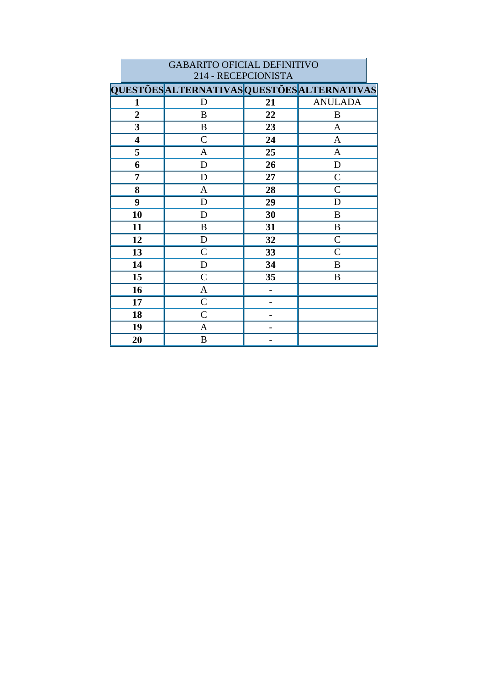| <b>GABARITO OFICIAL DEFINITIVO</b><br>214 - RECEPCIONISTA |                                             |    |                |  |  |
|-----------------------------------------------------------|---------------------------------------------|----|----------------|--|--|
|                                                           | QUESTÕES ALTERNATIVAS QUESTÕES ALTERNATIVAS |    |                |  |  |
| 1                                                         | D                                           | 21 | <b>ANULADA</b> |  |  |
| $\overline{2}$                                            | B                                           | 22 | B              |  |  |
| 3                                                         | B                                           | 23 | $\mathbf{A}$   |  |  |
| 4                                                         | $\mathcal{C}$                               | 24 | A              |  |  |
| 5                                                         | A                                           | 25 | A              |  |  |
| 6                                                         | D                                           | 26 | D              |  |  |
| 7                                                         | D                                           | 27 | $\mathcal{C}$  |  |  |
| 8                                                         | $\mathbf{A}$                                | 28 | $\mathcal{C}$  |  |  |
| 9                                                         | D                                           | 29 | D              |  |  |
| 10                                                        | D                                           | 30 | B              |  |  |
| 11                                                        | B                                           | 31 | B              |  |  |
| 12                                                        | D                                           | 32 | $\overline{C}$ |  |  |
| 13                                                        | $\mathcal{C}$                               | 33 | $\mathsf{C}$   |  |  |
| 14                                                        | D                                           | 34 | B              |  |  |
| 15                                                        | $\mathsf{C}$                                | 35 | B              |  |  |
| 16                                                        | A                                           |    |                |  |  |
| 17                                                        | $\overline{C}$                              |    |                |  |  |
| 18                                                        | $\mathcal{C}$                               |    |                |  |  |
| 19                                                        | A                                           |    |                |  |  |
| 20                                                        | $\boldsymbol{B}$                            |    |                |  |  |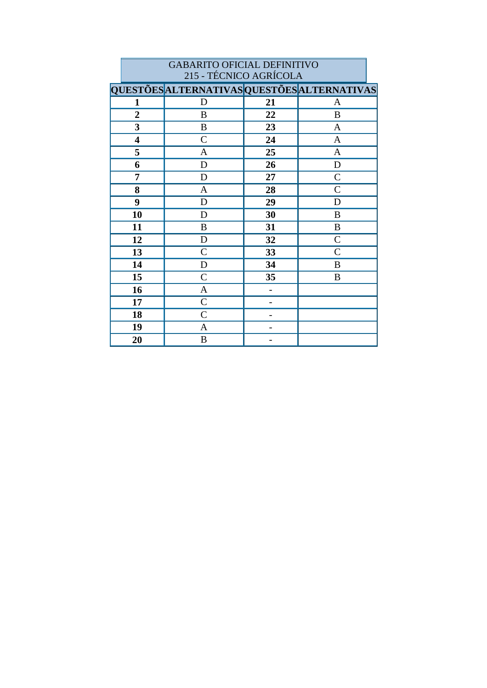| <b>GABARITO OFICIAL DEFINITIVO</b> |                                             |    |                |  |
|------------------------------------|---------------------------------------------|----|----------------|--|
| 215 - TÉCNICO AGRÍCOLA             |                                             |    |                |  |
|                                    | QUESTÕES ALTERNATIVAS QUESTÕES ALTERNATIVAS |    |                |  |
| 1                                  | D                                           | 21 | A              |  |
| $\overline{2}$                     | B                                           | 22 | $\bf{B}$       |  |
| $\overline{\mathbf{3}}$            | B                                           | 23 | A              |  |
| 4                                  | $\overline{C}$                              | 24 | $\mathbf{A}$   |  |
| 5                                  | A                                           | 25 | A              |  |
| 6                                  | ${\bf D}$                                   | 26 | $\mathbf D$    |  |
| 7                                  | D                                           | 27 | $\mathcal{C}$  |  |
| 8                                  | A                                           | 28 | $\mathcal{C}$  |  |
| 9                                  | D                                           | 29 | D              |  |
| 10                                 | D                                           | 30 | B              |  |
| 11                                 | B                                           | 31 | B              |  |
| 12                                 | D                                           | 32 | $\overline{C}$ |  |
| 13                                 | $\mathcal{C}$                               | 33 | $\overline{C}$ |  |
| 14                                 | D                                           | 34 | $\bf{B}$       |  |
| 15                                 | $\mathsf{C}$                                | 35 | B              |  |
| 16                                 | A                                           |    |                |  |
| 17                                 | $\mathcal{C}$                               |    |                |  |
| 18                                 | $\mathcal{C}$                               |    |                |  |
| 19                                 | A                                           |    |                |  |
| 20                                 | B                                           |    |                |  |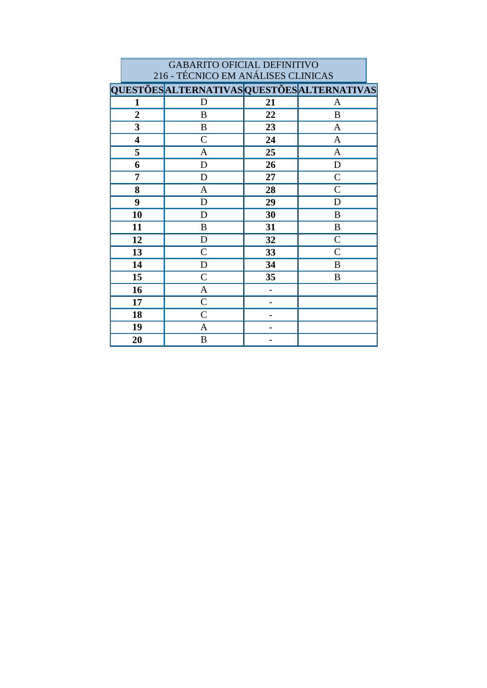| <b>GABARITO OFICIAL DEFINITIVO</b> |                                             |    |                |  |
|------------------------------------|---------------------------------------------|----|----------------|--|
|                                    | 216 - TÉCNICO EM ANÁLISES CLINICAS          |    |                |  |
|                                    | QUESTÕES ALTERNATIVAS QUESTÕES ALTERNATIVAS |    |                |  |
| $\mathbf{1}$                       | D                                           | 21 | A              |  |
| $\overline{2}$                     | B                                           | 22 | B              |  |
| 3                                  | B                                           | 23 | A              |  |
| $\overline{\mathbf{4}}$            | $\mathcal{C}$                               | 24 | A              |  |
| 5                                  | A                                           | 25 | A              |  |
| 6                                  | D                                           | 26 | D              |  |
| 7                                  | D                                           | 27 | $\mathcal{C}$  |  |
| 8                                  | A                                           | 28 | $\mathcal{C}$  |  |
| 9                                  | D                                           | 29 | D              |  |
| 10                                 | D                                           | 30 | B              |  |
| 11                                 | B                                           | 31 | B              |  |
| 12                                 | D                                           | 32 | $\overline{C}$ |  |
| 13                                 | $\mathcal{C}$                               | 33 | $\overline{C}$ |  |
| 14                                 | D                                           | 34 | B              |  |
| 15                                 | $\mathcal{C}$                               | 35 | B              |  |
| 16                                 | A                                           |    |                |  |
| 17                                 | $\overline{C}$                              |    |                |  |
| 18                                 | $\overline{C}$                              |    |                |  |
| 19                                 | A                                           |    |                |  |
| 20                                 | B                                           |    |                |  |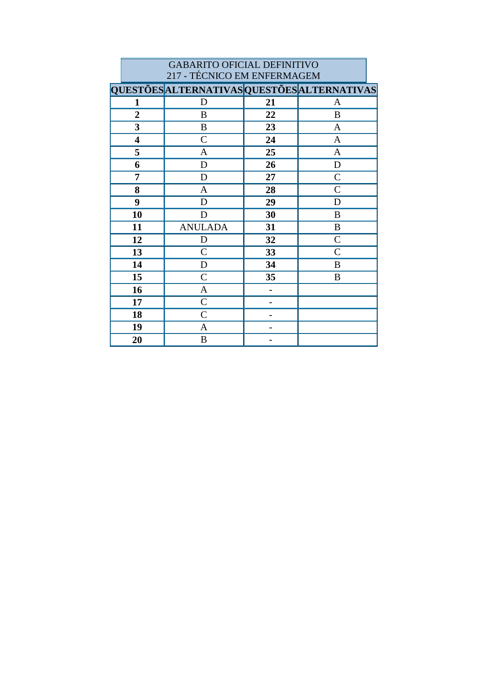| <b>GABARITO OFICIAL DEFINITIVO</b><br>217 - TÉCNICO EM ENFERMAGEM |                                                    |    |                |  |
|-------------------------------------------------------------------|----------------------------------------------------|----|----------------|--|
|                                                                   | <b>QUESTÕES ALTERNATIVAS QUESTÕES ALTERNATIVAS</b> |    |                |  |
| 1                                                                 | D                                                  | 21 | A              |  |
| $\overline{2}$                                                    | B                                                  | 22 | B              |  |
| 3                                                                 | B                                                  | 23 | A              |  |
| $\overline{\mathbf{4}}$                                           | $\overline{C}$                                     | 24 | A              |  |
| 5                                                                 | A                                                  | 25 | $\mathbf{A}$   |  |
| 6                                                                 | D                                                  | 26 | D              |  |
| 7                                                                 | D                                                  | 27 | $\overline{C}$ |  |
| 8                                                                 | A                                                  | 28 | $\mathcal{C}$  |  |
| 9                                                                 | D                                                  | 29 | D              |  |
| 10                                                                | D                                                  | 30 | B              |  |
| 11                                                                | <b>ANULADA</b>                                     | 31 | B              |  |
| 12                                                                | D                                                  | 32 | $\overline{C}$ |  |
| 13                                                                | $\mathcal{C}$                                      | 33 | $\mathcal{C}$  |  |
| 14                                                                | D                                                  | 34 | B              |  |
| 15                                                                | $\overline{C}$                                     | 35 | B              |  |
| 16                                                                | A                                                  |    |                |  |
| 17                                                                | $\overline{C}$                                     |    |                |  |
| 18                                                                | $\overline{C}$                                     |    |                |  |
| 19                                                                | A                                                  |    |                |  |
| 20                                                                | B                                                  |    |                |  |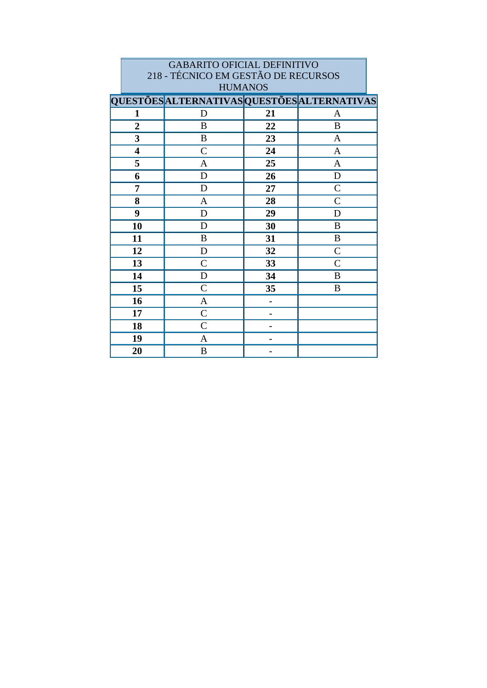| <b>GABARITO OFICIAL DEFINITIVO</b><br>218 - TÉCNICO EM GESTÃO DE RECURSOS<br><b>HUMANOS</b> |                                                    |    |                |  |
|---------------------------------------------------------------------------------------------|----------------------------------------------------|----|----------------|--|
|                                                                                             | <b>QUESTÕES ALTERNATIVAS QUESTÕES ALTERNATIVAS</b> |    |                |  |
| $\mathbf{1}$                                                                                | D                                                  | 21 | A              |  |
| $\overline{2}$                                                                              | B                                                  | 22 | B              |  |
| 3                                                                                           | B                                                  | 23 |                |  |
|                                                                                             |                                                    |    | A              |  |
| $\overline{\mathbf{4}}$                                                                     | $\overline{C}$                                     | 24 | A              |  |
| 5                                                                                           | A                                                  | 25 | $\mathbf{A}$   |  |
| 6                                                                                           | D                                                  | 26 | D              |  |
| 7                                                                                           | D                                                  | 27 | $\overline{C}$ |  |
| 8                                                                                           | A                                                  | 28 | $\mathcal{C}$  |  |
| 9                                                                                           | D                                                  | 29 | D              |  |
| 10                                                                                          | D                                                  | 30 | B              |  |
| 11                                                                                          | $\mathbf B$                                        | 31 | $\mathbf B$    |  |
| 12                                                                                          | D                                                  | 32 | $\mathcal{C}$  |  |
| 13                                                                                          | $\overline{C}$                                     | 33 | $\mathcal{C}$  |  |
| 14                                                                                          | D                                                  | 34 | B              |  |
| 15                                                                                          | $\overline{C}$                                     | 35 | B              |  |
| 16                                                                                          | A                                                  |    |                |  |
| 17                                                                                          | $\mathcal{C}$                                      |    |                |  |
| 18                                                                                          | $\mathcal{C}$                                      |    |                |  |
| 19                                                                                          | A                                                  |    |                |  |
| 20                                                                                          | B                                                  |    |                |  |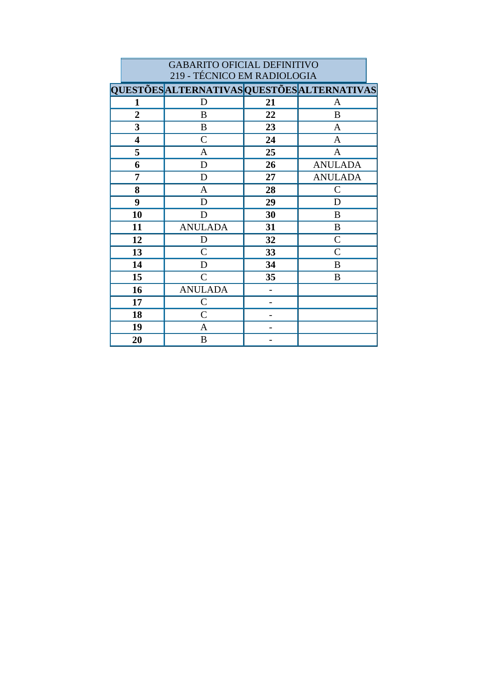| <b>GABARITO OFICIAL DEFINITIVO</b><br>219 - TÉCNICO EM RADIOLOGIA |                                                    |                |                |  |  |
|-------------------------------------------------------------------|----------------------------------------------------|----------------|----------------|--|--|
|                                                                   | <b>QUESTÕES ALTERNATIVAS QUESTÕES ALTERNATIVAS</b> |                |                |  |  |
| 1                                                                 | D                                                  | 21             | A              |  |  |
| $\overline{2}$                                                    | B                                                  | 22             | B              |  |  |
| 3                                                                 | B                                                  | 23             | A              |  |  |
| $\overline{\mathbf{4}}$                                           | $\overline{C}$                                     | 24             | A              |  |  |
| 5                                                                 | A                                                  | 25             | A              |  |  |
| 6                                                                 | D                                                  | 26             | <b>ANULADA</b> |  |  |
| 7                                                                 | D                                                  | 27             | <b>ANULADA</b> |  |  |
| 8                                                                 | A                                                  | 28             | $\overline{C}$ |  |  |
| 9                                                                 | D                                                  | 29             | D              |  |  |
| 10                                                                | D                                                  | 30             | B              |  |  |
| 11                                                                | <b>ANULADA</b>                                     | 31             | B              |  |  |
| 12                                                                | D                                                  | 32             | $\overline{C}$ |  |  |
| 13                                                                | $\overline{C}$                                     | 33             | $\overline{C}$ |  |  |
| 14                                                                | D                                                  | 34             | B              |  |  |
| 15                                                                | $\overline{C}$                                     | 35             | B              |  |  |
| 16                                                                | <b>ANULADA</b>                                     | $\overline{a}$ |                |  |  |
| 17                                                                | $\overline{C}$                                     |                |                |  |  |
| 18                                                                | $\overline{C}$                                     |                |                |  |  |
| 19                                                                | A                                                  |                |                |  |  |
| 20                                                                | B                                                  |                |                |  |  |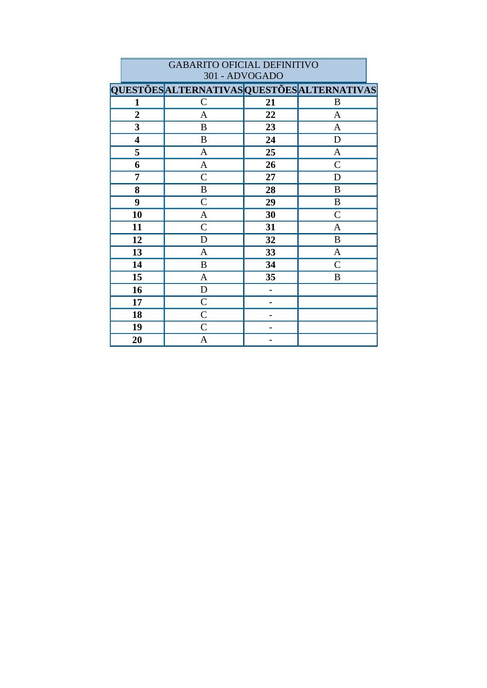|                         | 301 - ADVOGADO                              |    |               |  |
|-------------------------|---------------------------------------------|----|---------------|--|
|                         | QUESTÕES ALTERNATIVAS QUESTÕES ALTERNATIVAS |    |               |  |
| 1                       | $\mathcal{C}$                               | 21 | B             |  |
| $\boldsymbol{2}$        | $\mathbf{A}$                                | 22 | $\mathbf{A}$  |  |
| $\overline{\mathbf{3}}$ | $\, {\bf B}$                                | 23 | $\mathbf{A}$  |  |
| $\overline{\mathbf{4}}$ | B                                           | 24 | ${\bf D}$     |  |
| 5                       | $\mathbf{A}$                                | 25 | $\mathbf{A}$  |  |
| 6                       | $\mathbf{A}$                                | 26 | $\mathcal{C}$ |  |
| 7                       | $\mathcal{C}$                               | 27 | $\mathbf D$   |  |
| 8                       | $\, {\bf B}$                                | 28 | B             |  |
| 9                       | $\mathcal{C}$                               | 29 | $\, {\bf B}$  |  |
| 10                      | $\mathbf{A}$                                | 30 | $\mathcal{C}$ |  |
| 11                      | $\mathsf{C}$                                | 31 | A             |  |
| 12                      | $\mathbf D$                                 | 32 | $\bf{B}$      |  |
| 13                      | $\mathbf{A}$                                | 33 | $\mathbf{A}$  |  |
| 14                      | $\bf{B}$                                    | 34 | $\mathcal{C}$ |  |
| 15                      | $\mathbf{A}$                                | 35 | B             |  |
| 16                      | $\mathbf D$                                 |    |               |  |
| 17                      | $\mathsf{C}$                                |    |               |  |
| 18                      | $\mathcal{C}$                               |    |               |  |
| 19                      | $\mathcal{C}$                               |    |               |  |
| 20                      | A                                           |    |               |  |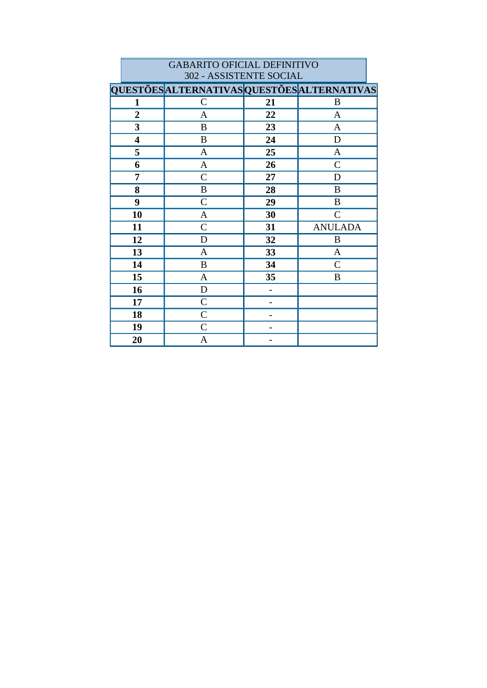|                         | 302 - ASSISTENTE SOCIAL                     |    |                |  |
|-------------------------|---------------------------------------------|----|----------------|--|
|                         | QUESTÕES ALTERNATIVAS QUESTÕES ALTERNATIVAS |    |                |  |
| $\mathbf{1}$            | $\mathcal{C}$                               | 21 | B              |  |
| $\boldsymbol{2}$        | $\mathbf{A}$                                | 22 | $\mathbf{A}$   |  |
| $\overline{\mathbf{3}}$ | $\, {\bf B}$                                | 23 | $\overline{A}$ |  |
| $\overline{\mathbf{4}}$ | $\bf{B}$                                    | 24 | $\mathbf D$    |  |
| 5                       | $\mathbf{A}$                                | 25 | $\mathbf{A}$   |  |
| 6                       | $\mathbf{A}$                                | 26 | $\mathcal{C}$  |  |
| 7                       | $\mathcal{C}$                               | 27 | D              |  |
| 8                       | $\, {\bf B}$                                | 28 | B              |  |
| 9                       | $\mathcal{C}$                               | 29 | $\bf{B}$       |  |
| 10                      | $\mathbf{A}$                                | 30 | $\mathcal{C}$  |  |
| 11                      | $\mathcal{C}$                               | 31 | <b>ANULADA</b> |  |
| 12                      | $\mathbf D$                                 | 32 | B              |  |
| 13                      | $\mathbf{A}$                                | 33 | $\mathbf{A}$   |  |
| 14                      | B                                           | 34 | $\mathcal{C}$  |  |
| 15                      | $\mathbf{A}$                                | 35 | B              |  |
| 16                      | $\mathbf D$                                 |    |                |  |
| 17                      | $\mathcal{C}$                               |    |                |  |
| 18                      | $\mathcal{C}$                               |    |                |  |
| 19                      | $\mathcal{C}$                               |    |                |  |
| 20                      | A                                           |    |                |  |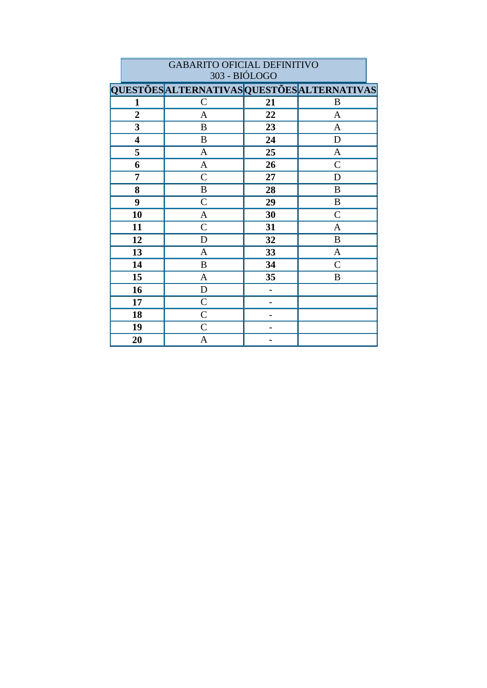|                         | <b>GABARITO OFICIAL DEFINITIVO</b>          |    |                |  |  |
|-------------------------|---------------------------------------------|----|----------------|--|--|
| 303 - BIÓLOGO           |                                             |    |                |  |  |
|                         | QUESTÕES ALTERNATIVAS QUESTÕES ALTERNATIVAS |    |                |  |  |
| 1                       | $\mathcal{C}$                               | 21 | B              |  |  |
| $\overline{2}$          | $\mathbf{A}$                                | 22 | $\mathbf{A}$   |  |  |
| $\overline{\mathbf{3}}$ | B                                           | 23 | A              |  |  |
| 4                       | B                                           | 24 | D              |  |  |
| 5                       | A                                           | 25 | $\mathbf{A}$   |  |  |
| 6                       | $\mathbf{A}$                                | 26 | $\mathcal{C}$  |  |  |
| 7                       | $\overline{C}$                              | 27 | D              |  |  |
| 8                       | B                                           | 28 | B              |  |  |
| 9                       | $\overline{C}$                              | 29 | $\, {\bf B}$   |  |  |
| 10                      | $\mathbf{A}$                                | 30 | $\overline{C}$ |  |  |
| 11                      | $\mathbf C$                                 | 31 | A              |  |  |
| 12                      | D                                           | 32 | B              |  |  |
| 13                      | A                                           | 33 | A              |  |  |
| 14                      | B                                           | 34 | $\overline{C}$ |  |  |
| 15                      | A                                           | 35 | B              |  |  |
| 16                      | D                                           |    |                |  |  |
| 17                      | $\mathcal{C}$                               |    |                |  |  |
| 18                      | $\mathcal{C}$                               |    |                |  |  |
| 19                      | $\mathcal{C}$                               |    |                |  |  |
| 20                      | A                                           |    |                |  |  |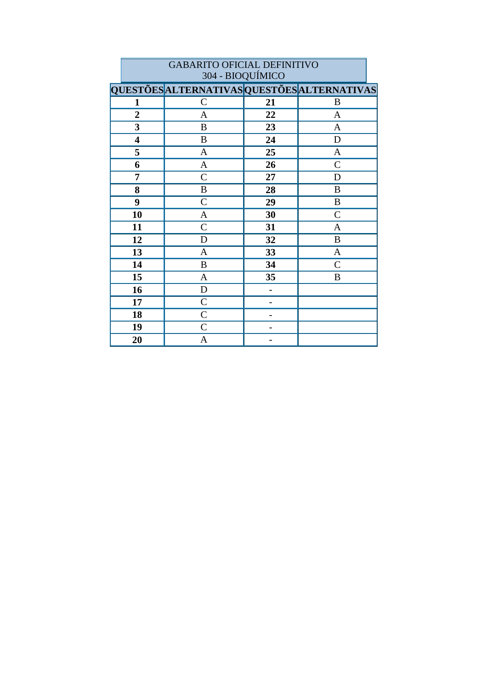| 304 - BIOQUIMICO        |                                             |    |               |
|-------------------------|---------------------------------------------|----|---------------|
|                         | QUESTÕES ALTERNATIVAS QUESTÕES ALTERNATIVAS |    |               |
| 1                       | $\mathcal{C}$                               | 21 | B             |
| $\overline{2}$          | A                                           | 22 | A             |
| $\overline{\mathbf{3}}$ | $\, {\bf B}$                                | 23 | $\mathbf{A}$  |
| $\overline{\mathbf{4}}$ | $\, {\bf B}$                                | 24 | $\mathbf D$   |
| 5                       | $\mathbf{A}$                                | 25 | $\mathbf{A}$  |
| 6                       | $\mathbf{A}$                                | 26 | $\mathcal{C}$ |
| 7                       | $\mathcal{C}$                               | 27 | D             |
| 8                       | $\, {\bf B}$                                | 28 | $\, {\bf B}$  |
| 9                       | $\mathcal{C}$                               | 29 | B             |
| 10                      | $\mathbf{A}$                                | 30 | $\mathcal{C}$ |
| 11                      | $\mathcal{C}$                               | 31 | A             |
| 12                      | D                                           | 32 | $\bf{B}$      |
| 13                      | $\mathbf{A}$                                | 33 | $\mathbf{A}$  |
| 14                      | B                                           | 34 | $\mathcal{C}$ |
| 15                      | $\mathbf{A}$                                | 35 | B             |
| 16                      | $\mathbf D$                                 |    |               |
| 17                      | $\mathcal{C}$                               |    |               |
| 18                      | $\mathsf{C}$                                |    |               |
| 19                      | $\mathcal{C}$                               |    |               |
| 20                      | A                                           |    |               |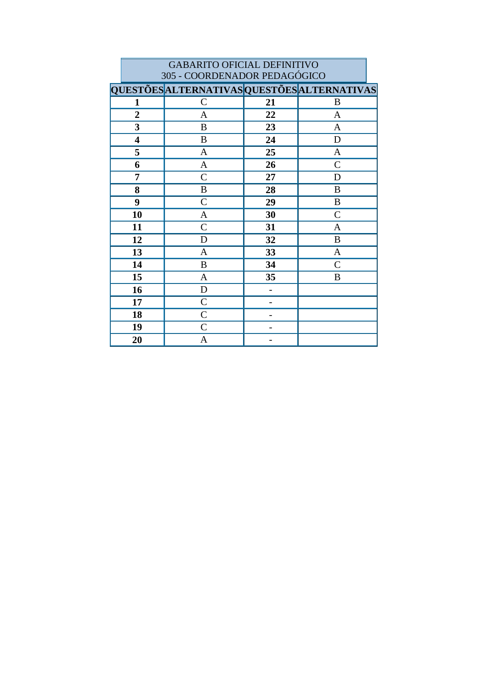| <b>GABARITO OFICIAL DEFINITIVO</b> |                                             |    |              |  |  |
|------------------------------------|---------------------------------------------|----|--------------|--|--|
|                                    | 305 - COORDENADOR PEDAGÓGICO                |    |              |  |  |
|                                    | QUESTÕES ALTERNATIVAS QUESTÕES ALTERNATIVAS |    |              |  |  |
| 1                                  | $\mathcal{C}$                               | 21 | B            |  |  |
| $\overline{2}$                     | $\mathbf{A}$                                | 22 | $\mathbf{A}$ |  |  |
| 3                                  | B                                           | 23 | A            |  |  |
| $\overline{\mathbf{4}}$            | B                                           | 24 | D            |  |  |
| 5                                  | $\mathbf{A}$                                | 25 | $\mathbf{A}$ |  |  |
| 6                                  | $\mathbf{A}$                                | 26 | $\mathsf{C}$ |  |  |
| 7                                  | $\mathcal{C}$                               | 27 | D            |  |  |
| 8                                  | $\, {\bf B}$                                | 28 | B            |  |  |
| 9                                  | $\mathcal{C}$                               | 29 | $\, {\bf B}$ |  |  |
| 10                                 | $\mathbf{A}$                                | 30 | $\mathsf{C}$ |  |  |
| 11                                 | $\mathcal{C}$                               | 31 | $\mathbf{A}$ |  |  |
| 12                                 | D                                           | 32 | $\bf{B}$     |  |  |
| 13                                 | A                                           | 33 | $\mathbf{A}$ |  |  |
| 14                                 | $\bf{B}$                                    | 34 | $\mathsf{C}$ |  |  |
| 15                                 | A                                           | 35 | B            |  |  |
| 16                                 | D                                           |    |              |  |  |
| 17                                 | $\overline{C}$                              |    |              |  |  |
| 18                                 | $\overline{C}$                              |    |              |  |  |
| 19                                 | $\overline{C}$                              |    |              |  |  |
| 20                                 | A                                           |    |              |  |  |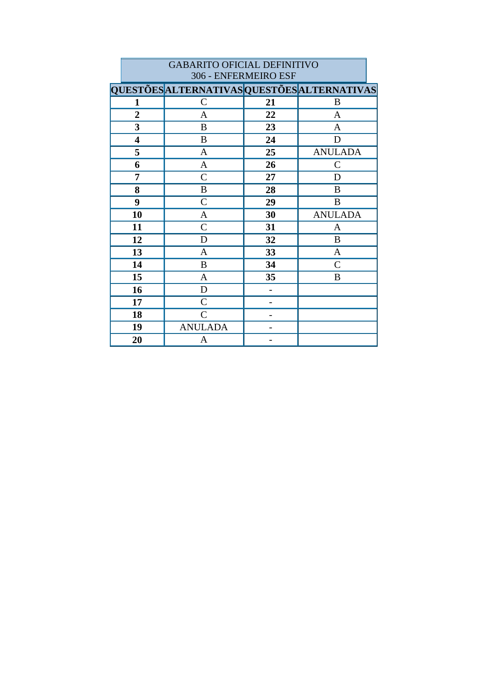|                         | 306 - ENFERMEIRO ESF                        |                          |                |  |
|-------------------------|---------------------------------------------|--------------------------|----------------|--|
|                         | QUESTÕES ALTERNATIVAS QUESTÕES ALTERNATIVAS |                          |                |  |
| 1                       | $\mathcal{C}$                               | 21                       | B              |  |
| $\overline{2}$          | A                                           | 22                       | A              |  |
| $\mathbf{3}$            | B                                           | 23                       | $\mathbf{A}$   |  |
| $\overline{\mathbf{4}}$ | $\bf{B}$                                    | 24                       | D              |  |
| 5                       | $\mathbf{A}$                                | 25                       | <b>ANULADA</b> |  |
| 6                       | $\mathbf{A}$                                | 26                       | $\mathsf{C}$   |  |
| 7                       | $\mathcal{C}$                               | 27                       | D              |  |
| 8                       | B                                           | 28                       | B              |  |
| 9                       | $\mathcal{C}$                               | 29                       | B              |  |
| 10                      | A                                           | 30                       | <b>ANULADA</b> |  |
| 11                      | $\mathcal{C}$                               | 31                       | A              |  |
| 12                      | D                                           | 32                       | B              |  |
| 13                      | $\mathbf{A}$                                | 33                       | $\mathbf{A}$   |  |
| 14                      | B                                           | 34                       | $\mathsf{C}$   |  |
| 15                      | $\mathbf{A}$                                | 35                       | B              |  |
| 16                      | D                                           |                          |                |  |
| 17                      | $\mathcal{C}$                               |                          |                |  |
| 18                      | $\mathcal{C}$                               | $\overline{\phantom{0}}$ |                |  |
| 19                      | <b>ANULADA</b>                              |                          |                |  |
| 20                      | A                                           |                          |                |  |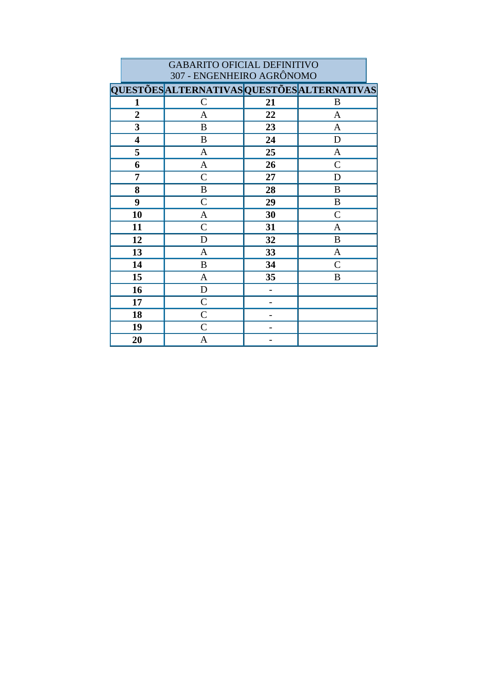| <b>GABARITO OFICIAL DEFINITIVO</b><br>307 - ENGENHEIRO AGRÔNOMO |                                             |    |               |  |  |  |
|-----------------------------------------------------------------|---------------------------------------------|----|---------------|--|--|--|
|                                                                 | QUESTÕES ALTERNATIVAS QUESTÕES ALTERNATIVAS |    |               |  |  |  |
| 1                                                               | $\mathcal{C}$                               | 21 | B             |  |  |  |
| $\boldsymbol{2}$                                                | A                                           | 22 | $\mathbf{A}$  |  |  |  |
| 3                                                               | B                                           | 23 | $\mathbf{A}$  |  |  |  |
| $\overline{\mathbf{4}}$                                         | B                                           | 24 | D             |  |  |  |
| 5                                                               | A                                           | 25 | $\mathbf{A}$  |  |  |  |
| 6                                                               | A                                           | 26 | $\mathcal{C}$ |  |  |  |
| 7                                                               | $\overline{C}$                              | 27 | D             |  |  |  |
| 8                                                               | B                                           | 28 | B             |  |  |  |
| 9                                                               | $\mathcal{C}$                               | 29 | B             |  |  |  |
| 10                                                              | A                                           | 30 | $\mathbf C$   |  |  |  |
| 11                                                              | $\overline{C}$                              | 31 | A             |  |  |  |
| 12                                                              | D                                           | 32 | $\, {\bf B}$  |  |  |  |
| 13                                                              | A                                           | 33 | $\mathbf{A}$  |  |  |  |
| 14                                                              | B                                           | 34 | $\mathsf{C}$  |  |  |  |
| 15                                                              | $\mathbf{A}$                                | 35 | B             |  |  |  |
| 16                                                              | D                                           |    |               |  |  |  |
| 17                                                              | $\mathcal{C}$                               |    |               |  |  |  |
| 18                                                              | $\overline{C}$                              |    |               |  |  |  |
| 19                                                              | $\overline{C}$                              |    |               |  |  |  |
| 20                                                              | A                                           |    |               |  |  |  |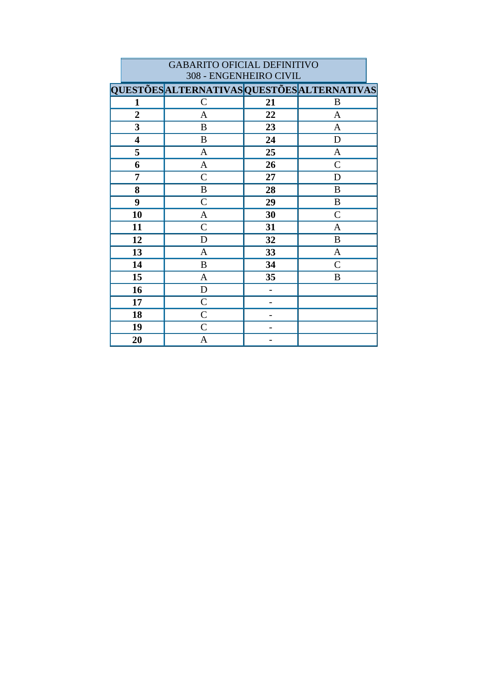|                         | 308 - ENGENHEIRO CIVIL                      |    |                  |  |  |
|-------------------------|---------------------------------------------|----|------------------|--|--|
|                         | QUESTÕES ALTERNATIVAS QUESTÕES ALTERNATIVAS |    |                  |  |  |
| $\mathbf{1}$            | $\mathbf C$                                 | 21 | B                |  |  |
| $\overline{2}$          | A                                           | 22 | A                |  |  |
| $\mathbf{3}$            | B                                           | 23 | A                |  |  |
| $\overline{\mathbf{4}}$ | $\bf{B}$                                    | 24 | D                |  |  |
| 5                       | $\mathbf{A}$                                | 25 | $\mathbf{A}$     |  |  |
| 6                       | $\mathbf{A}$                                | 26 | $\mathsf{C}$     |  |  |
| 7                       | $\mathcal{C}$                               | 27 | D                |  |  |
| 8                       | $\, {\bf B}$                                | 28 | B                |  |  |
| 9                       | $\mathcal{C}$                               | 29 | $\boldsymbol{B}$ |  |  |
| 10                      | A                                           | 30 | $\mathcal{C}$    |  |  |
| 11                      | $\mathsf{C}$                                | 31 | $\mathbf{A}$     |  |  |
| 12                      | D                                           | 32 | $\boldsymbol{B}$ |  |  |
| 13                      | $\mathbf{A}$                                | 33 | $\mathbf{A}$     |  |  |
| 14                      | B                                           | 34 | $\mathsf{C}$     |  |  |
| 15                      | $\mathbf{A}$                                | 35 | B                |  |  |
| 16                      | $\mathbf D$                                 |    |                  |  |  |
| 17                      | $\mathcal{C}$                               |    |                  |  |  |
| 18                      | $\mathcal{C}$                               |    |                  |  |  |
| 19                      | $\mathsf{C}$                                |    |                  |  |  |
| 20                      | A                                           |    |                  |  |  |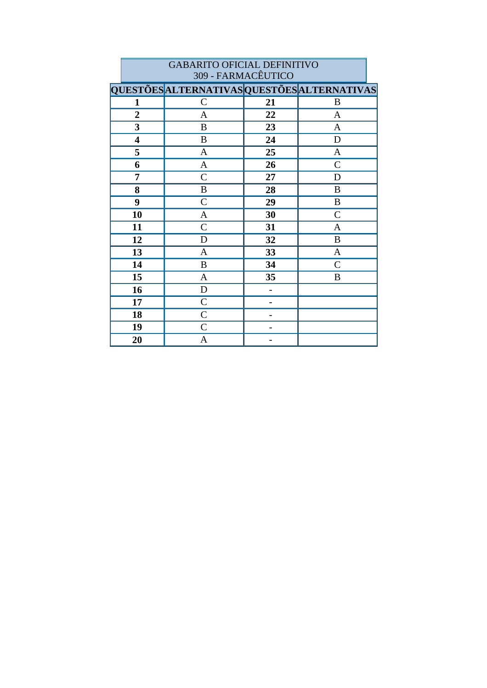|                         | 309 - FARMACEUTICO                          |    |                  |  |  |
|-------------------------|---------------------------------------------|----|------------------|--|--|
|                         | QUESTÕES ALTERNATIVAS QUESTÕES ALTERNATIVAS |    |                  |  |  |
| $\mathbf{1}$            | $\mathcal{C}$                               | 21 | $\boldsymbol{B}$ |  |  |
| $\overline{2}$          | A                                           | 22 | $\mathbf{A}$     |  |  |
| $\overline{\mathbf{3}}$ | B                                           | 23 | $\mathbf{A}$     |  |  |
| $\overline{\mathbf{4}}$ | B                                           | 24 | D                |  |  |
| 5                       | $\mathbf{A}$                                | 25 | $\mathbf{A}$     |  |  |
| 6                       | $\mathbf{A}$                                | 26 | $\mathcal{C}$    |  |  |
| 7                       | $\mathcal{C}$                               | 27 | D                |  |  |
| 8                       | $\bf{B}$                                    | 28 | B                |  |  |
| 9                       | $\mathcal{C}$                               | 29 | B                |  |  |
| 10                      | $\mathbf{A}$                                | 30 | $\mathcal{C}$    |  |  |
| 11                      | $\mathsf{C}$                                | 31 | A                |  |  |
| 12                      | D                                           | 32 | $\bf{B}$         |  |  |
| 13                      | A                                           | 33 | $\mathbf{A}$     |  |  |
| 14                      | $\boldsymbol{B}$                            | 34 | $\mathcal{C}$    |  |  |
| 15                      | $\mathbf{A}$                                | 35 | B                |  |  |
| 16                      | $\mathbf D$                                 |    |                  |  |  |
| 17                      | $\mathcal{C}$                               |    |                  |  |  |
| 18                      | $\mathcal{C}$                               |    |                  |  |  |
| 19                      | $\mathcal{C}$                               |    |                  |  |  |
| 20                      | A                                           |    |                  |  |  |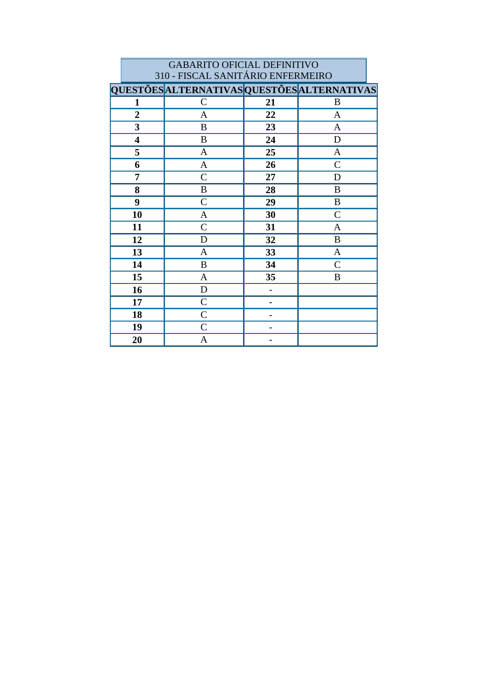|                         | <b>GABARITO OFICIAL DEFINITIVO</b>          |    |                |  |  |  |
|-------------------------|---------------------------------------------|----|----------------|--|--|--|
|                         | 310 - FISCAL SANITÁRIO ENFERMEIRO           |    |                |  |  |  |
|                         | QUESTÕES ALTERNATIVAS QUESTÕES ALTERNATIVAS |    |                |  |  |  |
| 1                       | $\mathsf{C}$                                | 21 | B              |  |  |  |
| $\overline{2}$          | $\mathbf{A}$                                | 22 | $\mathbf{A}$   |  |  |  |
| 3                       | B                                           | 23 | $\mathbf{A}$   |  |  |  |
| $\overline{\mathbf{4}}$ | B                                           | 24 | D              |  |  |  |
| 5                       | $\mathbf{A}$                                | 25 | A              |  |  |  |
| 6                       | $\mathbf{A}$                                | 26 | $\overline{C}$ |  |  |  |
| 7                       | $\mathcal{C}$                               | 27 | D              |  |  |  |
| 8                       | B                                           | 28 | B              |  |  |  |
| 9                       | $\overline{C}$                              | 29 | B              |  |  |  |
| 10                      | A                                           | 30 | $\mathcal{C}$  |  |  |  |
| 11                      | $\mathsf{C}$                                | 31 | A              |  |  |  |
| 12                      | D                                           | 32 | B              |  |  |  |
| 13                      | A                                           | 33 | A              |  |  |  |
| 14                      | $\bf{B}$                                    | 34 | $\overline{C}$ |  |  |  |
| 15                      | A                                           | 35 | B              |  |  |  |
| 16                      | D                                           | -  |                |  |  |  |
| 17                      | $\mathcal{C}$                               |    |                |  |  |  |
| 18                      | $\overline{C}$                              |    |                |  |  |  |
| 19                      | $\mathcal{C}$                               |    |                |  |  |  |
| 20                      | A                                           |    |                |  |  |  |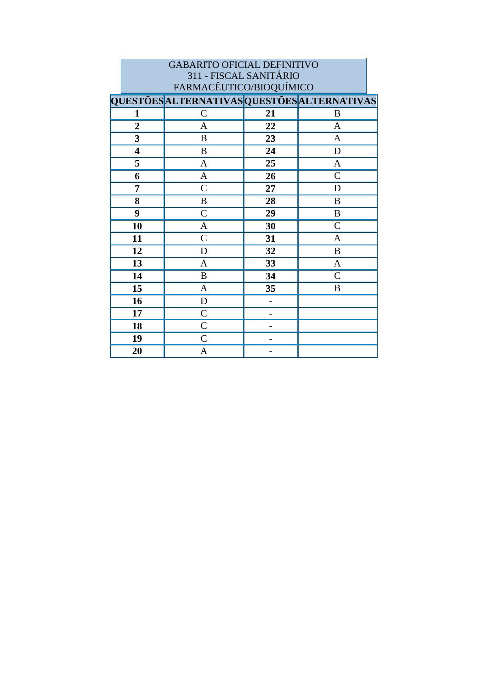| <b>GABARITO OFICIAL DEFINITIVO</b> |                                             |    |                |  |  |
|------------------------------------|---------------------------------------------|----|----------------|--|--|
| 311 - FISCAL SANITÁRIO             |                                             |    |                |  |  |
| FARMACÊUTICO/BIOQUÍMICO            |                                             |    |                |  |  |
|                                    | QUESTÕES ALTERNATIVAS QUESTÕES ALTERNATIVAS |    |                |  |  |
| 1                                  | $\mathcal{C}$                               | 21 | B              |  |  |
| $\boldsymbol{2}$                   | A                                           | 22 | $\mathbf{A}$   |  |  |
| $\overline{\mathbf{3}}$            | B                                           | 23 | $\mathbf{A}$   |  |  |
| $\overline{\mathbf{4}}$            | B                                           | 24 | D              |  |  |
| 5                                  | $\mathbf{A}$                                | 25 | $\mathbf{A}$   |  |  |
| 6                                  | $\mathbf A$                                 | 26 | $\overline{C}$ |  |  |
| 7                                  | $\overline{C}$                              | 27 | D              |  |  |
| 8                                  | $\bf{B}$                                    | 28 | $\bf{B}$       |  |  |
| 9                                  | $\overline{C}$                              | 29 | B              |  |  |
| 10                                 | $\mathbf{A}$                                | 30 | $\mathsf{C}$   |  |  |
| 11                                 | $\overline{C}$                              | 31 | A              |  |  |
| 12                                 | D                                           | 32 | B              |  |  |
| 13                                 | A                                           | 33 | A              |  |  |
| 14                                 | B                                           | 34 | $\mathcal{C}$  |  |  |
| 15                                 | $\mathbf{A}$                                | 35 | B              |  |  |
| 16                                 | D                                           | -  |                |  |  |
| 17                                 | $\mathcal{C}$                               |    |                |  |  |
| 18                                 | $\mathsf{C}$                                |    |                |  |  |
| 19                                 | $\overline{C}$                              |    |                |  |  |
| 20                                 | A                                           |    |                |  |  |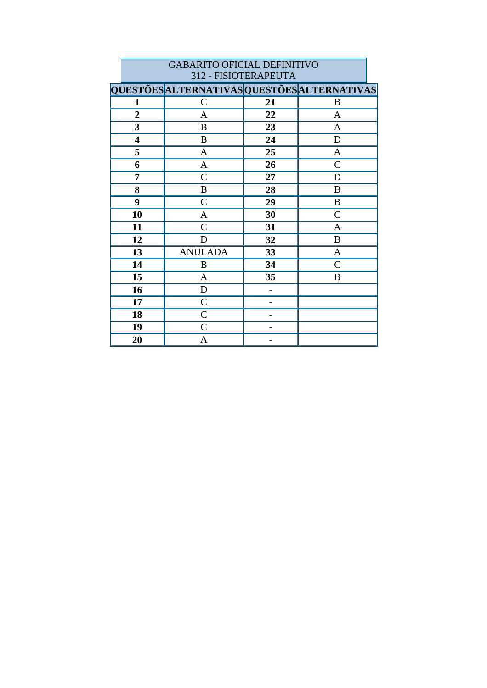|                         | 312 - FISIOTERAPEUTA                        |    |               |  |  |
|-------------------------|---------------------------------------------|----|---------------|--|--|
|                         | QUESTÕES ALTERNATIVAS QUESTÕES ALTERNATIVAS |    |               |  |  |
| 1                       | $\mathcal{C}$                               | 21 | B             |  |  |
| $\overline{2}$          | A                                           | 22 | $\mathbf{A}$  |  |  |
| 3                       | $\boldsymbol{B}$                            | 23 | $\mathbf{A}$  |  |  |
| $\overline{\mathbf{4}}$ | $\bf{B}$                                    | 24 | $\mathbf D$   |  |  |
| 5                       | $\mathbf{A}$                                | 25 | $\mathbf{A}$  |  |  |
| 6                       | $\mathbf{A}$                                | 26 | $\mathcal{C}$ |  |  |
| 7                       | $\mathcal{C}$                               | 27 | D             |  |  |
| 8                       | $\, {\bf B}$                                | 28 | $\bf{B}$      |  |  |
| 9                       | $\mathcal{C}$                               | 29 | B             |  |  |
| 10                      | $\mathbf{A}$                                | 30 | $\mathcal{C}$ |  |  |
| 11                      | $\mathcal{C}$                               | 31 | $\mathbf{A}$  |  |  |
| 12                      | D                                           | 32 | B             |  |  |
| 13                      | <b>ANULADA</b>                              | 33 | $\mathbf{A}$  |  |  |
| 14                      | B                                           | 34 | $\mathcal{C}$ |  |  |
| 15                      | $\mathbf{A}$                                | 35 | B             |  |  |
| 16                      | D                                           |    |               |  |  |
| 17                      | $\mathcal{C}$                               |    |               |  |  |
| 18                      | $\mathsf{C}$                                |    |               |  |  |
| 19                      | $\mathcal{C}$                               |    |               |  |  |
| 20                      | A                                           |    |               |  |  |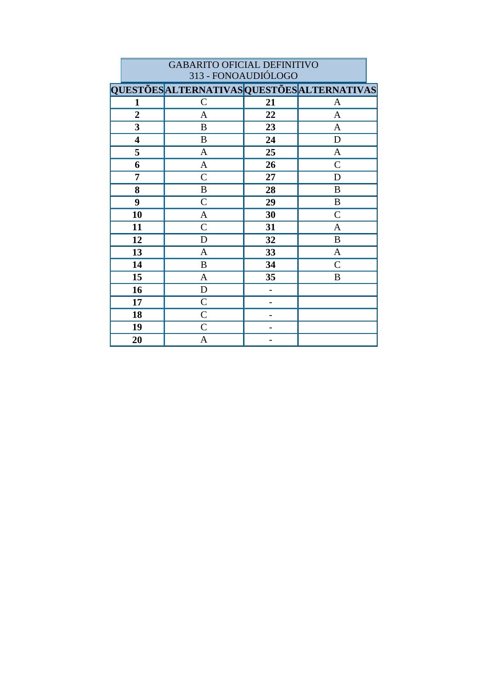|                         | 313 - FONOAUDIÓLOGO                         |    |               |  |  |
|-------------------------|---------------------------------------------|----|---------------|--|--|
|                         | QUESTÕES ALTERNATIVAS QUESTÕES ALTERNATIVAS |    |               |  |  |
| 1                       | $\mathcal{C}$                               | 21 | A             |  |  |
| $\overline{2}$          | A                                           | 22 | $\mathbf{A}$  |  |  |
| $\overline{\mathbf{3}}$ | $\bf{B}$                                    | 23 | $\mathbf{A}$  |  |  |
| $\overline{\mathbf{4}}$ | B                                           | 24 | D             |  |  |
| 5                       | $\mathbf{A}$                                | 25 | $\mathbf{A}$  |  |  |
| 6                       | $\mathbf A$                                 | 26 | $\mathcal{C}$ |  |  |
| 7                       | $\mathcal{C}$                               | 27 | D             |  |  |
| 8                       | $\, {\bf B}$                                | 28 | B             |  |  |
| 9                       | $\mathsf{C}$                                | 29 | B             |  |  |
| 10                      | $\mathbf{A}$                                | 30 | $\mathcal{C}$ |  |  |
| 11                      | $\mathsf{C}$                                | 31 | A             |  |  |
| 12                      | $\mathbf D$                                 | 32 | $\, {\bf B}$  |  |  |
| 13                      | $\mathbf{A}$                                | 33 | $\mathbf{A}$  |  |  |
| 14                      | $\boldsymbol{B}$                            | 34 | $\mathcal{C}$ |  |  |
| 15                      | $\mathbf{A}$                                | 35 | $\bf{B}$      |  |  |
| 16                      | ${\bf D}$                                   |    |               |  |  |
| 17                      | $\mathsf{C}$                                |    |               |  |  |
| 18                      | $\mathcal{C}$                               |    |               |  |  |
| 19                      | $\mathsf{C}$                                |    |               |  |  |
| 20                      | A                                           |    |               |  |  |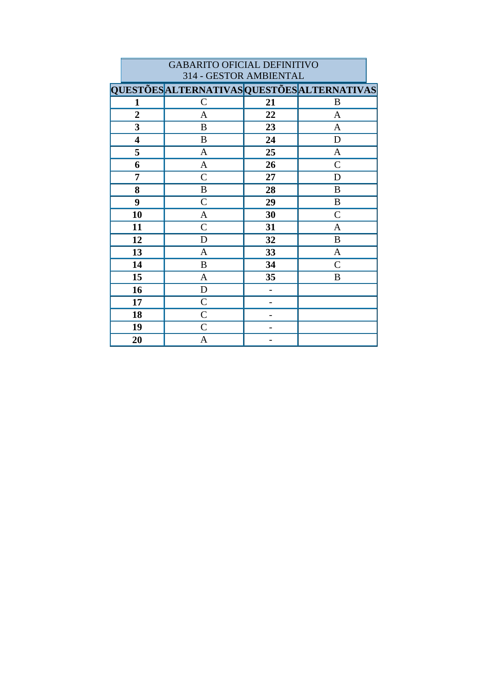| <b>GABARITO OFICIAL DEFINITIVO</b><br>314 - GESTOR AMBIENTAL |                                                    |    |                |  |
|--------------------------------------------------------------|----------------------------------------------------|----|----------------|--|
|                                                              | <b>QUESTÕES ALTERNATIVAS QUESTÕES ALTERNATIVAS</b> |    |                |  |
| 1                                                            | $\mathcal{C}$                                      | 21 | B              |  |
| $\overline{2}$                                               | A                                                  | 22 | A              |  |
| 3                                                            | B                                                  | 23 | A              |  |
| $\overline{\mathbf{4}}$                                      | B                                                  | 24 | D              |  |
| 5                                                            | A                                                  | 25 | A              |  |
| 6                                                            | A                                                  | 26 | $\mathsf{C}$   |  |
| 7                                                            | $\mathcal{C}$                                      | 27 | D              |  |
| 8                                                            | $\boldsymbol{B}$                                   | 28 | B              |  |
| 9                                                            | $\mathcal{C}$                                      | 29 | $\bf{B}$       |  |
| 10                                                           | A                                                  | 30 | $\overline{C}$ |  |
| 11                                                           | $\mathsf{C}$                                       | 31 | $\mathbf{A}$   |  |
| 12                                                           | D                                                  | 32 | $\bf{B}$       |  |
| 13                                                           | A                                                  | 33 | $\mathbf{A}$   |  |
| 14                                                           | $\bf{B}$                                           | 34 | $\mathsf{C}$   |  |
| 15                                                           | $\mathbf{A}$                                       | 35 | B              |  |
| 16                                                           | D                                                  |    |                |  |
| 17                                                           | $\overline{C}$                                     |    |                |  |
| 18                                                           | $\overline{C}$                                     |    |                |  |
| 19                                                           | $\overline{C}$                                     |    |                |  |
| 20                                                           | A                                                  |    |                |  |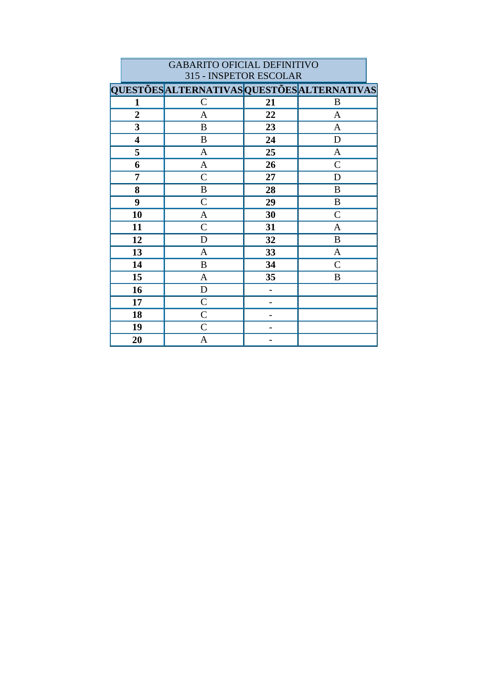|                         | 315 - INSPETOR ESCOLAR                      |    |                |  |  |
|-------------------------|---------------------------------------------|----|----------------|--|--|
|                         | QUESTÕES ALTERNATIVAS QUESTÕES ALTERNATIVAS |    |                |  |  |
| 1                       | $\mathcal{C}$                               | 21 | B              |  |  |
| $\overline{2}$          | $\mathbf{A}$                                | 22 | $\mathbf{A}$   |  |  |
| $\overline{\mathbf{3}}$ | $\boldsymbol{B}$                            | 23 | $\mathbf{A}$   |  |  |
| $\overline{\mathbf{4}}$ | $\boldsymbol{B}$                            | 24 | $\mathbf D$    |  |  |
| 5                       | $\mathbf{A}$                                | 25 | $\mathbf{A}$   |  |  |
| 6                       | $\mathbf{A}$                                | 26 | $\overline{C}$ |  |  |
| 7                       | $\mathcal{C}$                               | 27 | D              |  |  |
| 8                       | B                                           | 28 | B              |  |  |
| 9                       | $\mathsf{C}$                                | 29 | $\, {\bf B}$   |  |  |
| 10                      | $\mathbf{A}$                                | 30 | $\mathcal{C}$  |  |  |
| 11                      | $\mathcal{C}$                               | 31 | A              |  |  |
| 12                      | D                                           | 32 | $\bf{B}$       |  |  |
| 13                      | $\mathbf{A}$                                | 33 | $\mathbf{A}$   |  |  |
| 14                      | $\, {\bf B}$                                | 34 | $\mathcal{C}$  |  |  |
| 15                      | $\mathbf{A}$                                | 35 | B              |  |  |
| 16                      | $\mathbf D$                                 |    |                |  |  |
| 17                      | $\mathcal{C}$                               |    |                |  |  |
| 18                      | $\mathcal{C}$                               |    |                |  |  |
| 19                      | $\mathcal{C}$                               |    |                |  |  |
| 20                      | A                                           |    |                |  |  |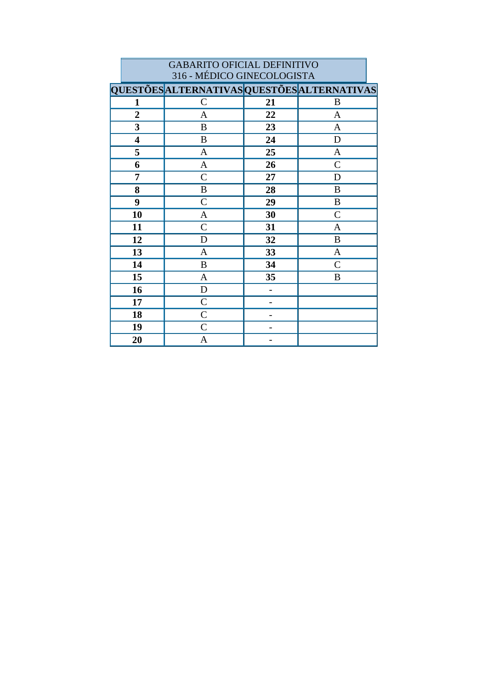|                            | <b>GABARITO OFICIAL DEFINITIVO</b>          |    |                |  |  |
|----------------------------|---------------------------------------------|----|----------------|--|--|
| 316 - MÉDICO GINECOLOGISTA |                                             |    |                |  |  |
|                            | QUESTÕES ALTERNATIVAS QUESTÕES ALTERNATIVAS |    |                |  |  |
| 1                          | $\mathsf{C}$                                | 21 | B              |  |  |
| $\overline{2}$             | A                                           | 22 | $\mathbf{A}$   |  |  |
| 3                          | B                                           | 23 | $\mathbf{A}$   |  |  |
| $\overline{\mathbf{4}}$    | B                                           | 24 | D              |  |  |
| 5                          | A                                           | 25 | $\mathbf{A}$   |  |  |
| 6                          | $\mathbf{A}$                                | 26 | $\mathcal{C}$  |  |  |
| 7                          | $\overline{C}$                              | 27 | D              |  |  |
| 8                          | B                                           | 28 | B              |  |  |
| 9                          | $\overline{C}$                              | 29 | $\, {\bf B}$   |  |  |
| 10                         | A                                           | 30 | $\overline{C}$ |  |  |
| 11                         | $\mathsf{C}$                                | 31 | A              |  |  |
| 12                         | D                                           | 32 | B              |  |  |
| 13                         | A                                           | 33 | A              |  |  |
| 14                         | B                                           | 34 | $\overline{C}$ |  |  |
| 15                         | A                                           | 35 | B              |  |  |
| 16                         | D                                           |    |                |  |  |
| 17                         | $\mathcal{C}$                               |    |                |  |  |
| 18                         | $\overline{C}$                              |    |                |  |  |
| 19                         | $\overline{C}$                              |    |                |  |  |
| 20                         | A                                           |    |                |  |  |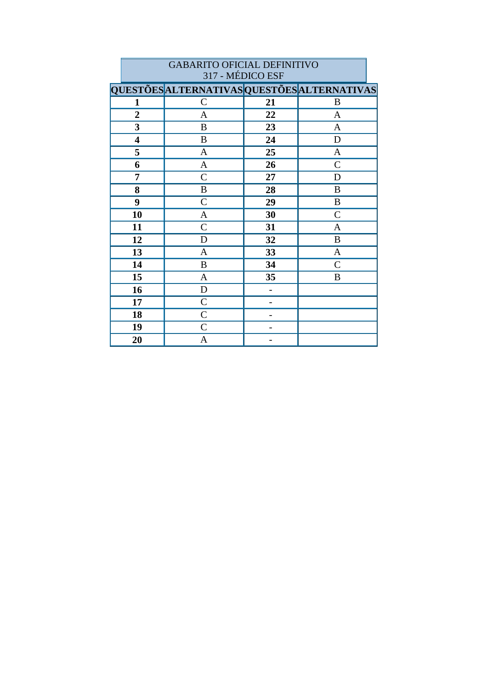|                         | 317 - MEDICO ESF                            |    |               |  |  |
|-------------------------|---------------------------------------------|----|---------------|--|--|
|                         | QUESTÕES ALTERNATIVAS QUESTÕES ALTERNATIVAS |    |               |  |  |
| 1                       | $\mathsf C$                                 | 21 | B             |  |  |
| $\overline{2}$          | $\overline{A}$                              | 22 | $\mathbf{A}$  |  |  |
| 3                       | $\bf{B}$                                    | 23 | A             |  |  |
| $\overline{\mathbf{4}}$ | B                                           | 24 | D             |  |  |
| 5                       | $\mathbf{A}$                                | 25 | $\mathbf A$   |  |  |
| 6                       | $\mathbf{A}$                                | 26 | $\mathcal{C}$ |  |  |
| 7                       | $\mathcal{C}$                               | 27 | D             |  |  |
| 8                       | $\, {\bf B}$                                | 28 | B             |  |  |
| 9                       | $\mathcal{C}$                               | 29 | $\, {\bf B}$  |  |  |
| 10                      | $\mathbf{A}$                                | 30 | $\mathcal{C}$ |  |  |
| 11                      | $\mathsf{C}$                                | 31 | A             |  |  |
| 12                      | D                                           | 32 | B             |  |  |
| 13                      | $\mathbf{A}$                                | 33 | $\mathbf{A}$  |  |  |
| 14                      | $\bf{B}$                                    | 34 | $\mathcal{C}$ |  |  |
| 15                      | $\mathbf{A}$                                | 35 | $\bf{B}$      |  |  |
| 16                      | $\mathbf D$                                 |    |               |  |  |
| 17                      | $\mathcal{C}$                               |    |               |  |  |
| 18                      | $\mathsf{C}$                                |    |               |  |  |
| 19                      | $\mathcal{C}$                               |    |               |  |  |
| 20                      | A                                           |    |               |  |  |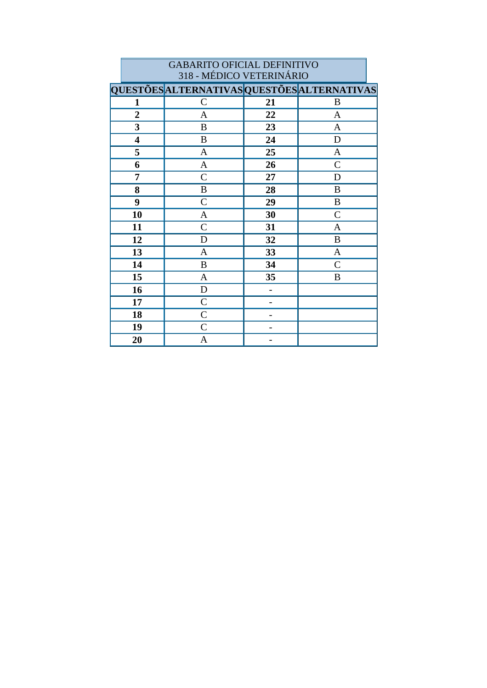|                         | 318 - MÉDICO VETERINÁRIO                    |    |               |  |
|-------------------------|---------------------------------------------|----|---------------|--|
|                         | QUESTÕES ALTERNATIVAS QUESTÕES ALTERNATIVAS |    |               |  |
| 1                       | $\mathcal{C}$                               | 21 | B             |  |
| $\overline{2}$          | $\mathbf{A}$                                | 22 | $\mathbf{A}$  |  |
| $\overline{\mathbf{3}}$ | $\boldsymbol{B}$                            | 23 | $\mathbf{A}$  |  |
| $\overline{\mathbf{4}}$ | $\bf{B}$                                    | 24 | ${\bf D}$     |  |
| 5                       | $\mathbf{A}$                                | 25 | $\mathbf{A}$  |  |
| 6                       | $\mathbf{A}$                                | 26 | $\mathcal{C}$ |  |
| 7                       | $\mathcal{C}$                               | 27 | D             |  |
| 8                       | $\, {\bf B}$                                | 28 | B             |  |
| 9                       | $\mathsf{C}$                                | 29 | $\bf{B}$      |  |
| 10                      | $\mathbf{A}$                                | 30 | $\mathcal{C}$ |  |
| 11                      | $\mathcal{C}$                               | 31 | $\mathbf{A}$  |  |
| 12                      | D                                           | 32 | $\bf{B}$      |  |
| 13                      | $\mathbf{A}$                                | 33 | $\mathbf{A}$  |  |
| 14                      | $\, {\bf B}$                                | 34 | $\mathcal{C}$ |  |
| 15                      | $\mathbf{A}$                                | 35 | B             |  |
| 16                      | $\mathbf D$                                 |    |               |  |
| 17                      | $\mathsf{C}$                                |    |               |  |
| 18                      | $\mathsf{C}$                                |    |               |  |
| 19                      | $\mathcal{C}$                               |    |               |  |
| 20                      | $\mathbf{A}$                                |    |               |  |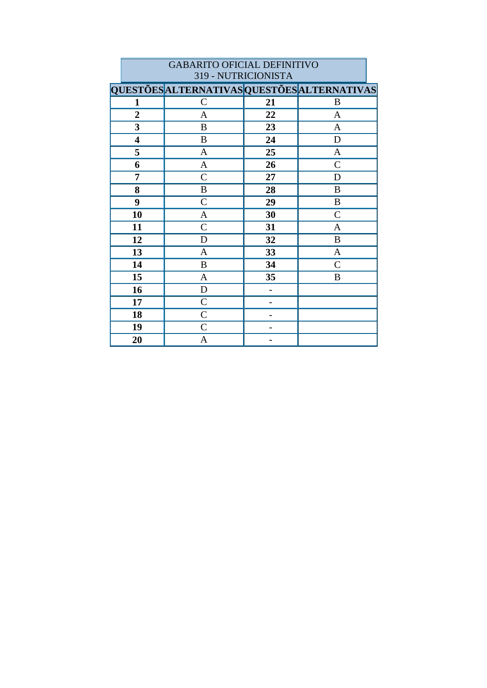|                         | 319 - NUTRICIONISTA                         |    |                |  |  |
|-------------------------|---------------------------------------------|----|----------------|--|--|
|                         | QUESTÕES ALTERNATIVAS QUESTÕES ALTERNATIVAS |    |                |  |  |
| 1                       | $\mathcal{C}$                               | 21 | B              |  |  |
| $\boldsymbol{2}$        | A                                           | 22 | A              |  |  |
| $\overline{\mathbf{3}}$ | $\, {\bf B}$                                | 23 | $\mathbf{A}$   |  |  |
| $\overline{\mathbf{4}}$ | B                                           | 24 | D              |  |  |
| 5                       | $\mathbf{A}$                                | 25 | $\mathbf{A}$   |  |  |
| 6                       | $\mathbf{A}$                                | 26 | $\mathcal{C}$  |  |  |
| 7                       | $\mathcal{C}$                               | 27 | D              |  |  |
| 8                       | $\, {\bf B}$                                | 28 | $\bf{B}$       |  |  |
| 9                       | $\mathcal{C}$                               | 29 | $\, {\bf B}$   |  |  |
| 10                      | $\mathbf{A}$                                | 30 | $\mathcal{C}$  |  |  |
| 11                      | $\mathsf{C}$                                | 31 | A              |  |  |
| 12                      | D                                           | 32 | $\, {\bf B}$   |  |  |
| 13                      | $\mathbf{A}$                                | 33 | $\overline{A}$ |  |  |
| 14                      | $\boldsymbol{B}$                            | 34 | $\mathcal{C}$  |  |  |
| 15                      | $\mathbf{A}$                                | 35 | B              |  |  |
| 16                      | ${\rm D}$                                   |    |                |  |  |
| 17                      | $\mathsf{C}$                                |    |                |  |  |
| 18                      | $\mathsf{C}$                                |    |                |  |  |
| 19                      | $\mathcal{C}$                               |    |                |  |  |
| 20                      | A                                           |    |                |  |  |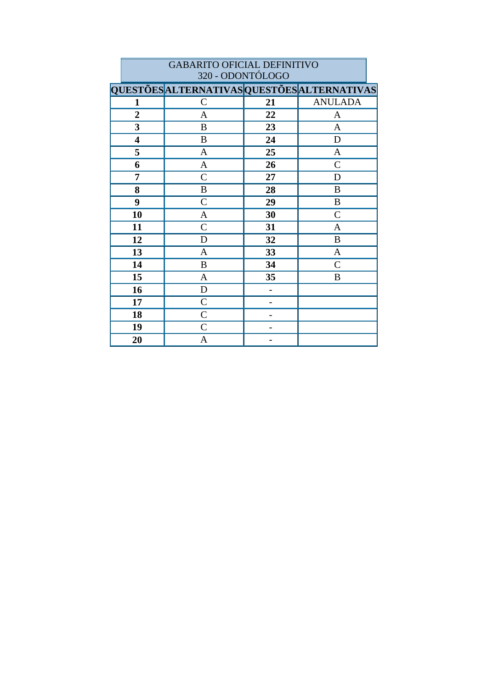|                | <b>GABARITO OFICIAL DEFINITIVO</b><br>320 - ODONTÓLOGO |    |                |  |  |  |
|----------------|--------------------------------------------------------|----|----------------|--|--|--|
|                | QUESTÕES ALTERNATIVAS QUESTÕES ALTERNATIVAS            |    |                |  |  |  |
| 1              | $\mathcal{C}$                                          | 21 | <b>ANULADA</b> |  |  |  |
| $\overline{2}$ | $\mathbf{A}$                                           | 22 | A              |  |  |  |
| 3              | B                                                      | 23 | A              |  |  |  |
| 4              | B                                                      | 24 | D              |  |  |  |
| 5              | A                                                      | 25 | A              |  |  |  |
| 6              | A                                                      | 26 | $\mathsf{C}$   |  |  |  |
| 7              | $\overline{C}$                                         | 27 | D              |  |  |  |
| 8              | B                                                      | 28 | B              |  |  |  |
| 9              | $\mathcal{C}$                                          | 29 | B              |  |  |  |
| 10             | $\mathbf{A}$                                           | 30 | $\overline{C}$ |  |  |  |
| 11             | $\mathsf{C}$                                           | 31 | A              |  |  |  |
| 12             | D                                                      | 32 | B              |  |  |  |
| 13             | $\mathbf{A}$                                           | 33 | A              |  |  |  |
| 14             | B                                                      | 34 | $\mathsf{C}$   |  |  |  |
| 15             | $\mathbf{A}$                                           | 35 | B              |  |  |  |
| 16             | D                                                      |    |                |  |  |  |
| 17             | $\mathcal{C}$                                          |    |                |  |  |  |
| 18             | $\mathcal{C}$                                          |    |                |  |  |  |
| 19             | $\mathsf{C}$                                           |    |                |  |  |  |
| 20             | A                                                      |    |                |  |  |  |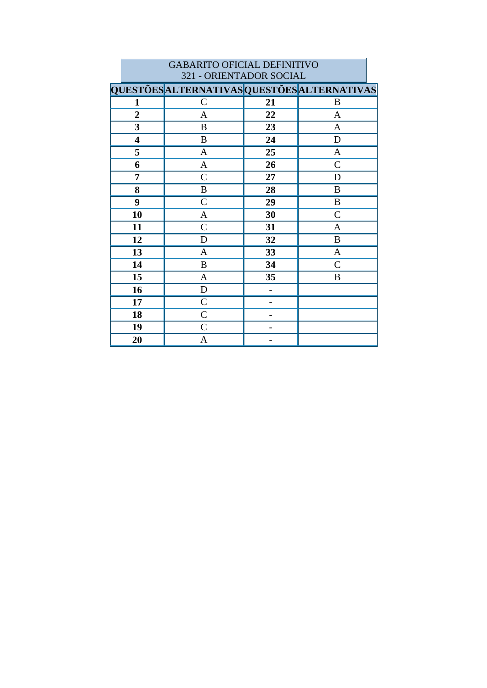|                         | 321 - ORIENTADOR SOCIAL                     |    |               |  |  |
|-------------------------|---------------------------------------------|----|---------------|--|--|
|                         | QUESTÕES ALTERNATIVAS QUESTÕES ALTERNATIVAS |    |               |  |  |
| 1                       | $\mathcal{C}$                               | 21 | B             |  |  |
| $\overline{2}$          | $\mathbf{A}$                                | 22 | $\mathbf{A}$  |  |  |
| $\mathbf{3}$            | $\boldsymbol{B}$                            | 23 | $\mathbf{A}$  |  |  |
| $\overline{\mathbf{4}}$ | $\boldsymbol{B}$                            | 24 | D             |  |  |
| 5                       | $\mathbf{A}$                                | 25 | A             |  |  |
| 6                       | $\mathbf{A}$                                | 26 | $\mathcal{C}$ |  |  |
| 7                       | $\mathsf{C}$                                | 27 | D             |  |  |
| 8                       | $\, {\bf B}$                                | 28 | B             |  |  |
| 9                       | $\mathsf{C}$                                | 29 | $\, {\bf B}$  |  |  |
| 10                      | $\mathbf{A}$                                | 30 | $\mathcal{C}$ |  |  |
| 11                      | $\mathcal{C}$                               | 31 | $\mathbf{A}$  |  |  |
| 12                      | D                                           | 32 | $\, {\bf B}$  |  |  |
| 13                      | $\mathbf{A}$                                | 33 | $\mathbf{A}$  |  |  |
| 14                      | B                                           | 34 | $\mathcal{C}$ |  |  |
| 15                      | $\boldsymbol{\mathsf{A}}$                   | 35 | B             |  |  |
| 16                      | $\mathbf D$                                 |    |               |  |  |
| 17                      | $\mathcal{C}$                               |    |               |  |  |
| 18                      | $\mathcal{C}$                               |    |               |  |  |
| 19                      | $\mathcal{C}$                               |    |               |  |  |
| 20                      | A                                           |    |               |  |  |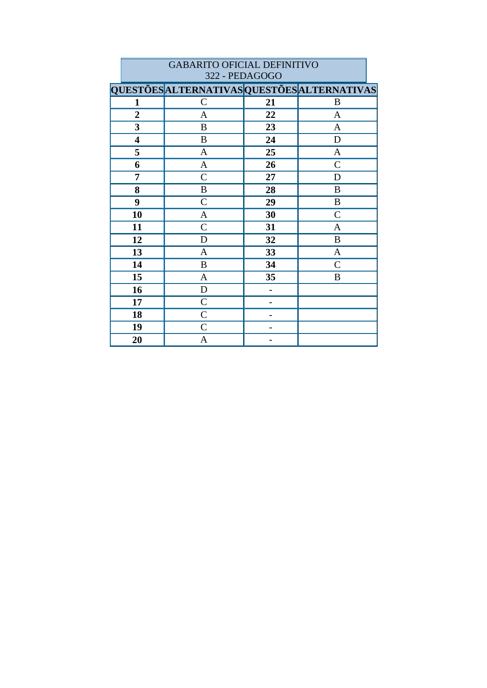|                         | 322 - PEDAGOGO                              |    |                |  |  |
|-------------------------|---------------------------------------------|----|----------------|--|--|
|                         | QUESTÕES ALTERNATIVAS QUESTÕES ALTERNATIVAS |    |                |  |  |
| $\mathbf{1}$            | $\mathcal{C}$                               | 21 | B              |  |  |
| $\boldsymbol{2}$        | $\mathbf{A}$                                | 22 | $\mathbf{A}$   |  |  |
| $\overline{\mathbf{3}}$ | $\, {\bf B}$                                | 23 | $\overline{A}$ |  |  |
| $\overline{\mathbf{4}}$ | $\bf{B}$                                    | 24 | ${\bf D}$      |  |  |
| 5                       | $\mathbf{A}$                                | 25 | $\mathbf{A}$   |  |  |
| 6                       | $\mathbf{A}$                                | 26 | $\mathcal{C}$  |  |  |
| 7                       | $\mathcal{C}$                               | 27 | $\mathbf D$    |  |  |
| 8                       | $\boldsymbol{B}$                            | 28 | B              |  |  |
| 9                       | $\mathcal{C}$                               | 29 | $\, {\bf B}$   |  |  |
| 10                      | $\mathbf{A}$                                | 30 | $\mathcal{C}$  |  |  |
| 11                      | $\mathsf{C}$                                | 31 | A              |  |  |
| 12                      | $\mathbf D$                                 | 32 | $\bf{B}$       |  |  |
| 13                      | $\mathbf{A}$                                | 33 | $\mathbf{A}$   |  |  |
| 14                      | $\boldsymbol{B}$                            | 34 | $\mathcal{C}$  |  |  |
| 15                      | $\mathbf{A}$                                | 35 | B              |  |  |
| 16                      | $\mathbf D$                                 |    |                |  |  |
| 17                      | $\mathsf{C}$                                |    |                |  |  |
| 18                      | $\mathcal{C}$                               |    |                |  |  |
| 19                      | $\mathcal{C}$                               |    |                |  |  |
| 20                      | A                                           |    |                |  |  |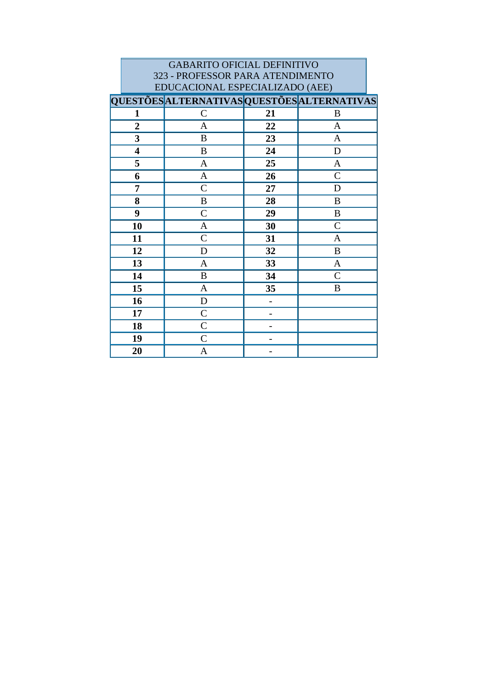| <b>GABARITO OFICIAL DEFINITIVO</b> |                                                    |    |                |  |  |
|------------------------------------|----------------------------------------------------|----|----------------|--|--|
|                                    | 323 - PROFESSOR PARA ATENDIMENTO                   |    |                |  |  |
| EDUCACIONAL ESPECIALIZADO (AEE)    |                                                    |    |                |  |  |
|                                    | <b>QUESTÕES ALTERNATIVAS QUESTÕES ALTERNATIVAS</b> |    |                |  |  |
| 1                                  | $\mathcal{C}$                                      | 21 | B              |  |  |
| $\overline{2}$                     | A                                                  | 22 | A              |  |  |
| 3                                  | B                                                  | 23 | A              |  |  |
| $\overline{\mathbf{4}}$            | B                                                  | 24 | D              |  |  |
| 5                                  | A                                                  | 25 | $\mathbf{A}$   |  |  |
| 6                                  | A                                                  | 26 | $\overline{C}$ |  |  |
| 7                                  | $\mathcal{C}$                                      | 27 | D              |  |  |
| 8                                  | B                                                  | 28 | B              |  |  |
| 9                                  | $\mathcal{C}$                                      | 29 | B              |  |  |
| 10                                 | A                                                  | 30 | $\overline{C}$ |  |  |
| 11                                 | $\mathcal{C}$                                      | 31 | $\mathbf{A}$   |  |  |
| 12                                 | D                                                  | 32 | B              |  |  |
| 13                                 | A                                                  | 33 | A              |  |  |
| 14                                 | B                                                  | 34 | $\overline{C}$ |  |  |
| 15                                 | A                                                  | 35 | B              |  |  |
| 16                                 | D                                                  |    |                |  |  |
| 17                                 | $\mathsf{C}$                                       | -  |                |  |  |
| 18                                 | $\mathcal{C}$                                      |    |                |  |  |
| 19                                 | $\mathcal{C}$                                      |    |                |  |  |
| 20                                 | A                                                  |    |                |  |  |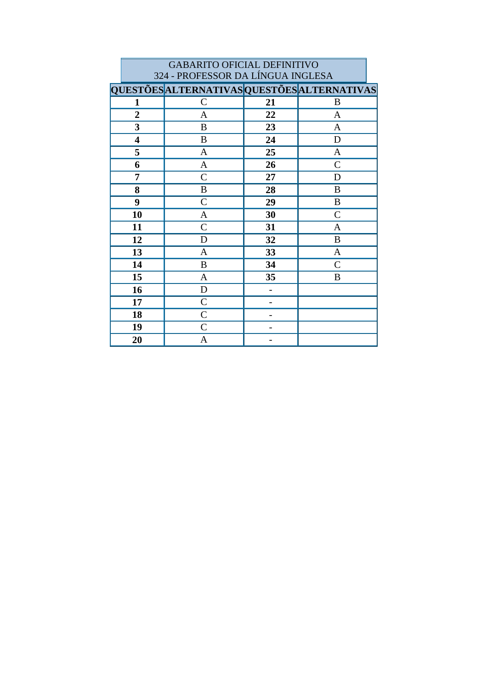|                         | <b>GABARITO OFICIAL DEFINITIVO</b>          |    |                |  |  |
|-------------------------|---------------------------------------------|----|----------------|--|--|
|                         | 324 - PROFESSOR DA LÍNGUA INGLESA           |    |                |  |  |
|                         | QUESTÕES ALTERNATIVAS QUESTÕES ALTERNATIVAS |    |                |  |  |
| 1                       | $\mathcal{C}$                               | 21 | B              |  |  |
| $\overline{2}$          | $\mathbf{A}$                                | 22 | $\mathbf{A}$   |  |  |
| 3                       | B                                           | 23 | $\mathbf{A}$   |  |  |
| $\overline{\mathbf{4}}$ | B                                           | 24 | D              |  |  |
| 5                       | A                                           | 25 | A              |  |  |
| 6                       | $\mathbf{A}$                                | 26 | $\overline{C}$ |  |  |
| 7                       | $\mathcal{C}$                               | 27 | D              |  |  |
| 8                       | B                                           | 28 | B              |  |  |
| 9                       | $\overline{C}$                              | 29 | B              |  |  |
| 10                      | A                                           | 30 | $\mathcal{C}$  |  |  |
| 11                      | $\mathcal{C}$                               | 31 | A              |  |  |
| 12                      | D                                           | 32 | B              |  |  |
| 13                      | A                                           | 33 | A              |  |  |
| 14                      | $\bf{B}$                                    | 34 | $\overline{C}$ |  |  |
| 15                      | A                                           | 35 | B              |  |  |
| 16                      | $\mathbf D$                                 | -  |                |  |  |
| 17                      | $\mathcal{C}$                               |    |                |  |  |
| 18                      | $\overline{C}$                              |    |                |  |  |
| 19                      | $\mathcal{C}$                               |    |                |  |  |
| 20                      | A                                           |    |                |  |  |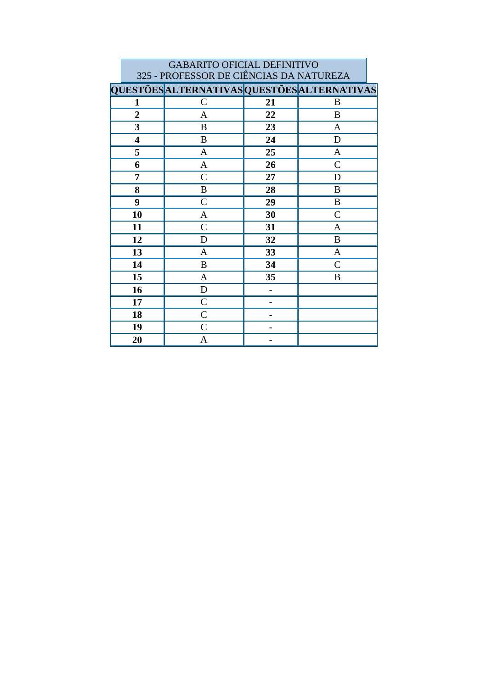|                         | <b>GABARITO OFICIAL DEFINITIVO</b>          |    |               |  |  |  |
|-------------------------|---------------------------------------------|----|---------------|--|--|--|
|                         | 325 - PROFESSOR DE CIÊNCIAS DA NATUREZA     |    |               |  |  |  |
|                         | QUESTÕES ALTERNATIVAS QUESTÕES ALTERNATIVAS |    |               |  |  |  |
| 1                       | $\mathsf{C}$                                | 21 | B             |  |  |  |
| $\overline{2}$          | $\mathbf{A}$                                | 22 | B             |  |  |  |
| 3                       | B                                           | 23 | $\mathbf{A}$  |  |  |  |
| $\overline{\mathbf{4}}$ | B                                           | 24 | D             |  |  |  |
| 5                       | A                                           | 25 | A             |  |  |  |
| 6                       | $\mathbf{A}$                                | 26 | $\mathcal{C}$ |  |  |  |
| 7                       | $\overline{C}$                              | 27 | D             |  |  |  |
| 8                       | B                                           | 28 | B             |  |  |  |
| 9                       | $\overline{C}$                              | 29 | B             |  |  |  |
| 10                      | A                                           | 30 | $\mathcal{C}$ |  |  |  |
| 11                      | $\mathcal{C}$                               | 31 | A             |  |  |  |
| 12                      | D                                           | 32 | $\bf{B}$      |  |  |  |
| 13                      | A                                           | 33 | A             |  |  |  |
| 14                      | $\bf{B}$                                    | 34 | $\mathcal{C}$ |  |  |  |
| 15                      | A                                           | 35 | B             |  |  |  |
| 16                      | $\mathbf D$                                 |    |               |  |  |  |
| 17                      | $\mathcal{C}$                               |    |               |  |  |  |
| 18                      | $\overline{C}$                              |    |               |  |  |  |
| 19                      | $\mathcal{C}$                               |    |               |  |  |  |
| 20                      | A                                           |    |               |  |  |  |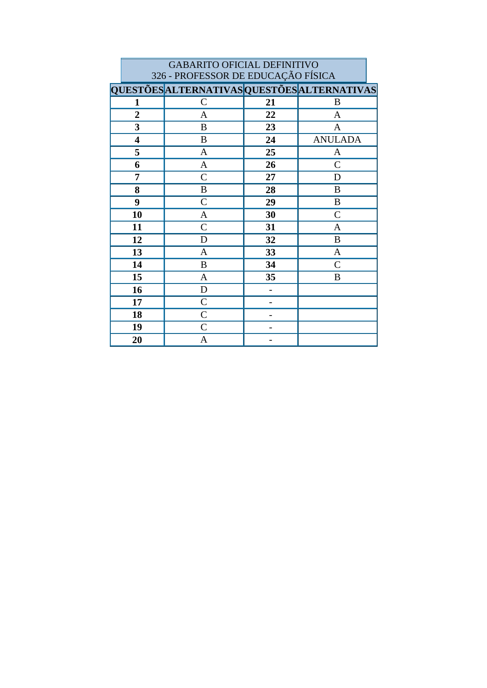|                         | <b>GABARITO OFICIAL DEFINITIVO</b>          |    |                |  |  |
|-------------------------|---------------------------------------------|----|----------------|--|--|
|                         | 326 - PROFESSOR DE EDUCAÇÃO FÍSICA          |    |                |  |  |
|                         | QUESTÕES ALTERNATIVAS QUESTÕES ALTERNATIVAS |    |                |  |  |
| 1                       | $\mathsf{C}$                                | 21 | B              |  |  |
| $\overline{2}$          | $\mathbf{A}$                                | 22 | $\mathbf{A}$   |  |  |
| 3                       | B                                           | 23 | $\mathbf{A}$   |  |  |
| $\overline{\mathbf{4}}$ | B                                           | 24 | <b>ANULADA</b> |  |  |
| 5                       | A                                           | 25 | A              |  |  |
| 6                       | $\mathbf{A}$                                | 26 | $\mathcal{C}$  |  |  |
| 7                       | $\overline{C}$                              | 27 | D              |  |  |
| 8                       | B                                           | 28 | B              |  |  |
| 9                       | $\overline{C}$                              | 29 | B              |  |  |
| 10                      | A                                           | 30 | $\mathcal{C}$  |  |  |
| 11                      | $\mathcal{C}$                               | 31 | A              |  |  |
| 12                      | D                                           | 32 | $\mathbf B$    |  |  |
| 13                      | A                                           | 33 | A              |  |  |
| 14                      | $\bf{B}$                                    | 34 | $\overline{C}$ |  |  |
| 15                      | A                                           | 35 | B              |  |  |
| 16                      | $\mathbf D$                                 |    |                |  |  |
| 17                      | $\mathcal{C}$                               |    |                |  |  |
| 18                      | $\overline{C}$                              |    |                |  |  |
| 19                      | $\overline{C}$                              |    |                |  |  |
| 20                      | A                                           |    |                |  |  |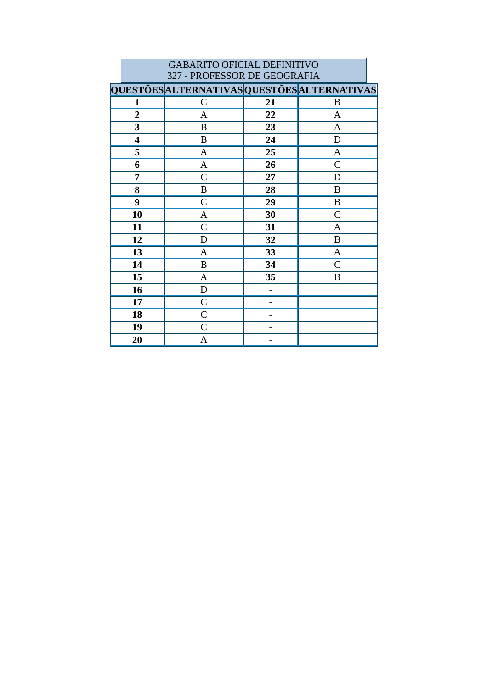|                              | <b>GABARITO OFICIAL DEFINITIVO</b>          |    |               |  |  |
|------------------------------|---------------------------------------------|----|---------------|--|--|
| 327 - PROFESSOR DE GEOGRAFIA |                                             |    |               |  |  |
|                              | QUESTÕES ALTERNATIVAS QUESTÕES ALTERNATIVAS |    |               |  |  |
| 1                            | $\mathcal{C}$                               | 21 | B             |  |  |
| $\overline{2}$               | A                                           | 22 | $\mathbf{A}$  |  |  |
| 3                            | B                                           | 23 | $\mathbf{A}$  |  |  |
| $\overline{\mathbf{4}}$      | B                                           | 24 | D             |  |  |
| 5                            | A                                           | 25 | A             |  |  |
| 6                            | $\mathbf{A}$                                | 26 | $\mathbf C$   |  |  |
| 7                            | $\overline{C}$                              | 27 | D             |  |  |
| 8                            | B                                           | 28 | B             |  |  |
| 9                            | $\mathcal{C}$                               | 29 | $\, {\bf B}$  |  |  |
| 10                           | $\mathbf{A}$                                | 30 | $\mathcal{C}$ |  |  |
| 11                           | $\mathsf{C}$                                | 31 | $\mathbf{A}$  |  |  |
| 12                           | D                                           | 32 | B             |  |  |
| 13                           | A                                           | 33 | A             |  |  |
| 14                           | $\bf{B}$                                    | 34 | $\mathsf{C}$  |  |  |
| 15                           | A                                           | 35 | B             |  |  |
| 16                           | D                                           |    |               |  |  |
| 17                           | $\overline{C}$                              |    |               |  |  |
| 18                           | $\overline{C}$                              |    |               |  |  |
| 19                           | $\overline{C}$                              |    |               |  |  |
| 20                           | A                                           |    |               |  |  |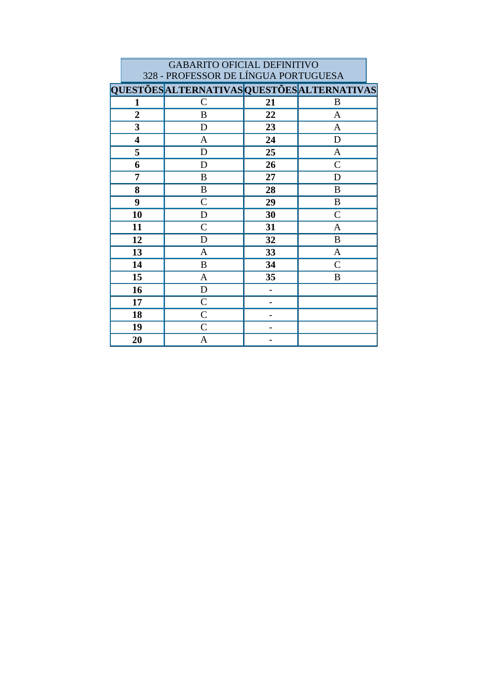|                         | <b>GABARITO OFICIAL DEFINITIVO</b>          |    |                |  |  |  |
|-------------------------|---------------------------------------------|----|----------------|--|--|--|
|                         | 328 - PROFESSOR DE LÍNGUA PORTUGUESA        |    |                |  |  |  |
|                         | QUESTÕES ALTERNATIVAS QUESTÕES ALTERNATIVAS |    |                |  |  |  |
| 1                       | $\mathsf{C}$                                | 21 | B              |  |  |  |
| $\overline{2}$          | B                                           | 22 | $\mathbf{A}$   |  |  |  |
| 3                       | D                                           | 23 | $\mathbf{A}$   |  |  |  |
| $\overline{\mathbf{4}}$ | $\mathbf{A}$                                | 24 | D              |  |  |  |
| 5                       | D                                           | 25 | A              |  |  |  |
| 6                       | D                                           | 26 | $\overline{C}$ |  |  |  |
| 7                       | B                                           | 27 | D              |  |  |  |
| 8                       | B                                           | 28 | B              |  |  |  |
| 9                       | $\overline{C}$                              | 29 | B              |  |  |  |
| 10                      | D                                           | 30 | $\mathcal{C}$  |  |  |  |
| 11                      | $\mathsf{C}$                                | 31 | A              |  |  |  |
| 12                      | D                                           | 32 | B              |  |  |  |
| 13                      | A                                           | 33 | A              |  |  |  |
| 14                      | $\bf{B}$                                    | 34 | $\overline{C}$ |  |  |  |
| 15                      | A                                           | 35 | B              |  |  |  |
| 16                      | $\mathbf D$                                 |    |                |  |  |  |
| 17                      | $\mathsf{C}$                                |    |                |  |  |  |
| 18                      | $\overline{C}$                              |    |                |  |  |  |
| 19                      | $\mathsf{C}$                                |    |                |  |  |  |
| 20                      | A                                           |    |                |  |  |  |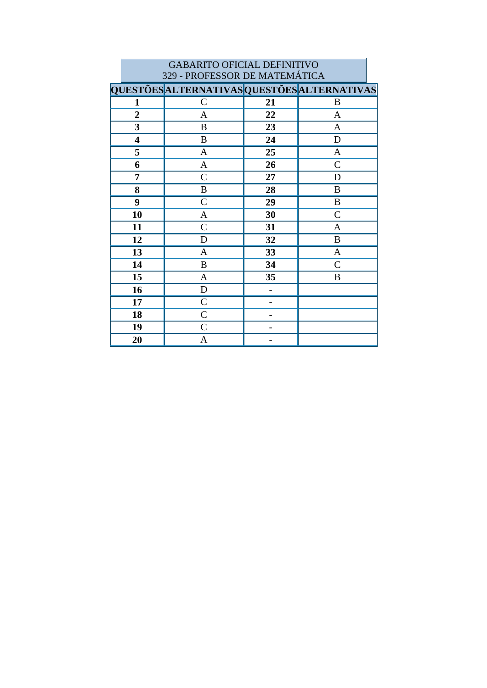|                         | 329 - PROFESSOR DE MATEMÁTICA               |    |                |  |  |
|-------------------------|---------------------------------------------|----|----------------|--|--|
|                         | QUESTÕES ALTERNATIVAS QUESTÕES ALTERNATIVAS |    |                |  |  |
| 1                       | $\mathcal{C}$                               | 21 | B              |  |  |
| $\overline{2}$          | $\mathbf{A}$                                | 22 | $\mathbf{A}$   |  |  |
| $\overline{\mathbf{3}}$ | B                                           | 23 | $\mathbf{A}$   |  |  |
| $\overline{\mathbf{4}}$ | $\bf{B}$                                    | 24 | D              |  |  |
| 5                       | A                                           | 25 | $\mathbf{A}$   |  |  |
| 6                       | $\mathbf A$                                 | 26 | $\overline{C}$ |  |  |
| 7                       | $\mathcal{C}$                               | 27 | D              |  |  |
| 8                       | B                                           | 28 | B              |  |  |
| 9                       | $\mathcal{C}$                               | 29 | B              |  |  |
| 10                      | A                                           | 30 | $\mathcal{C}$  |  |  |
| 11                      | $\mathsf{C}$                                | 31 | A              |  |  |
| 12                      | D                                           | 32 | $\bf{B}$       |  |  |
| 13                      | A                                           | 33 | $\mathbf{A}$   |  |  |
| 14                      | B                                           | 34 | $\mathcal{C}$  |  |  |
| 15                      | A                                           | 35 | B              |  |  |
| 16                      | $\mathbf D$                                 |    |                |  |  |
| 17                      | $\mathsf{C}$                                |    |                |  |  |
| 18                      | $\mathcal{C}$                               |    |                |  |  |
| 19                      | $\mathcal{C}$                               |    |                |  |  |
| 20                      | A                                           |    |                |  |  |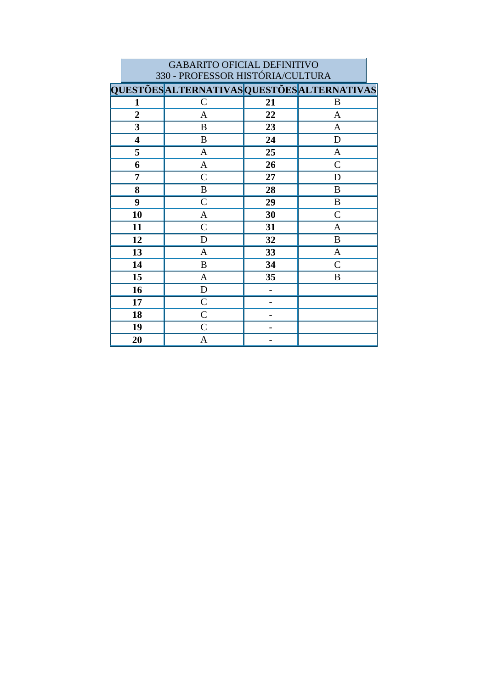|                         | <b>GABARITO OFICIAL DEFINITIVO</b>          |    |                |  |  |
|-------------------------|---------------------------------------------|----|----------------|--|--|
|                         | 330 - PROFESSOR HISTÓRIA/CULTURA            |    |                |  |  |
|                         | QUESTÕES ALTERNATIVAS QUESTÕES ALTERNATIVAS |    |                |  |  |
| 1                       | $\mathcal{C}$                               | 21 | B              |  |  |
| $\overline{2}$          | $\mathbf{A}$                                | 22 | $\mathbf{A}$   |  |  |
| 3                       | B                                           | 23 | $\mathbf{A}$   |  |  |
| $\overline{\mathbf{4}}$ | B                                           | 24 | D              |  |  |
| 5                       | $\mathbf{A}$                                | 25 | $\mathbf{A}$   |  |  |
| 6                       | $\mathbf{A}$                                | 26 | $\overline{C}$ |  |  |
| 7                       | $\mathcal{C}$                               | 27 | D              |  |  |
| 8                       | B                                           | 28 | B              |  |  |
| 9                       | $\overline{C}$                              | 29 | B              |  |  |
| 10                      | A                                           | 30 | $\mathcal{C}$  |  |  |
| 11                      | $\mathsf{C}$                                | 31 | A              |  |  |
| 12                      | D                                           | 32 | B              |  |  |
| 13                      | A                                           | 33 | A              |  |  |
| 14                      | $\bf{B}$                                    | 34 | $\overline{C}$ |  |  |
| 15                      | A                                           | 35 | B              |  |  |
| 16                      | $\mathbf D$                                 | -  |                |  |  |
| 17                      | $\mathcal{C}$                               |    |                |  |  |
| 18                      | $\overline{C}$                              |    |                |  |  |
| 19                      | $\mathcal{C}$                               |    |                |  |  |
| 20                      | A                                           |    |                |  |  |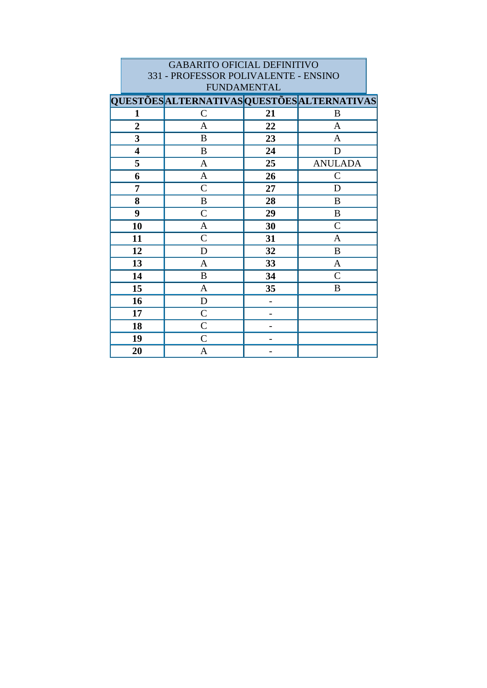| <b>GABARITO OFICIAL DEFINITIVO</b>   |                                             |    |                |  |  |
|--------------------------------------|---------------------------------------------|----|----------------|--|--|
| 331 - PROFESSOR POLIVALENTE - ENSINO |                                             |    |                |  |  |
| <b>FUNDAMENTAL</b>                   |                                             |    |                |  |  |
|                                      | QUESTÕES ALTERNATIVAS QUESTÕES ALTERNATIVAS |    |                |  |  |
| 1                                    | $\mathsf{C}$                                | 21 | B              |  |  |
| $\overline{2}$                       | A                                           | 22 | A              |  |  |
| 3                                    | B                                           | 23 | A              |  |  |
| $\overline{\mathbf{4}}$              | B                                           | 24 | D              |  |  |
| 5                                    | A                                           | 25 | <b>ANULADA</b> |  |  |
| 6                                    | A                                           | 26 | $\mathcal{C}$  |  |  |
| 7                                    | $\overline{C}$                              | 27 | D              |  |  |
| 8                                    | B                                           | 28 | B              |  |  |
| 9                                    | $\mathsf{C}$                                | 29 | B              |  |  |
| 10                                   | A                                           | 30 | $\mathsf{C}$   |  |  |
| 11                                   | $\overline{C}$                              | 31 | A              |  |  |
| 12                                   | D                                           | 32 | B              |  |  |
| 13                                   | A                                           | 33 | $\mathbf{A}$   |  |  |
| 14                                   | B                                           | 34 | $\overline{C}$ |  |  |
| 15                                   | $\mathbf{A}$                                | 35 | B              |  |  |
| 16                                   | D                                           |    |                |  |  |
| 17                                   | $\mathcal{C}$                               | -  |                |  |  |
| 18                                   | $\mathcal{C}$                               |    |                |  |  |
| 19                                   | $\overline{C}$                              |    |                |  |  |
| 20                                   | A                                           |    |                |  |  |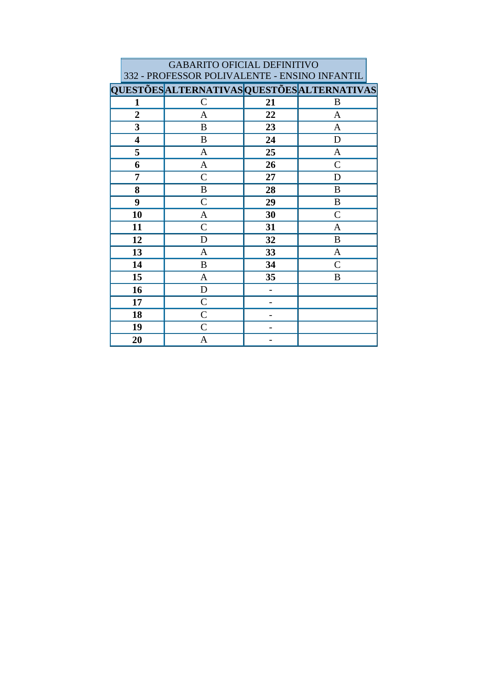| <b>GABARITO OFICIAL DEFINITIVO</b>                                                           |                |    |               |  |  |
|----------------------------------------------------------------------------------------------|----------------|----|---------------|--|--|
| 332 - PROFESSOR POLIVALENTE - ENSINO INFANTIL<br>QUESTÕES ALTERNATIVAS QUESTÕES ALTERNATIVAS |                |    |               |  |  |
|                                                                                              |                |    |               |  |  |
| $\mathbf{1}$                                                                                 | $\mathcal{C}$  | 21 | B             |  |  |
| $\overline{2}$                                                                               | A              | 22 | $\mathbf{A}$  |  |  |
| 3                                                                                            | B              | 23 | A             |  |  |
| $\overline{\mathbf{4}}$                                                                      | B              | 24 | D             |  |  |
| 5                                                                                            | A              | 25 | A             |  |  |
| 6                                                                                            | $\mathbf{A}$   | 26 | $\mathcal{C}$ |  |  |
| 7                                                                                            | $\overline{C}$ | 27 | D             |  |  |
| 8                                                                                            | B              | 28 | B             |  |  |
| 9                                                                                            | $\overline{C}$ | 29 | B             |  |  |
| 10                                                                                           | A              | 30 | $\mathcal{C}$ |  |  |
| 11                                                                                           | $\mathcal{C}$  | 31 | A             |  |  |
| 12                                                                                           | D              | 32 | $\bf{B}$      |  |  |
| 13                                                                                           | A              | 33 | A             |  |  |
| 14                                                                                           | B              | 34 | $\mathcal{C}$ |  |  |
| 15                                                                                           | $\mathbf{A}$   | 35 | B             |  |  |
| 16                                                                                           | D              |    |               |  |  |
| 17                                                                                           | $\mathcal{C}$  |    |               |  |  |
| 18                                                                                           | $\overline{C}$ |    |               |  |  |
| 19                                                                                           | $\mathcal{C}$  |    |               |  |  |
| 20                                                                                           | A              |    |               |  |  |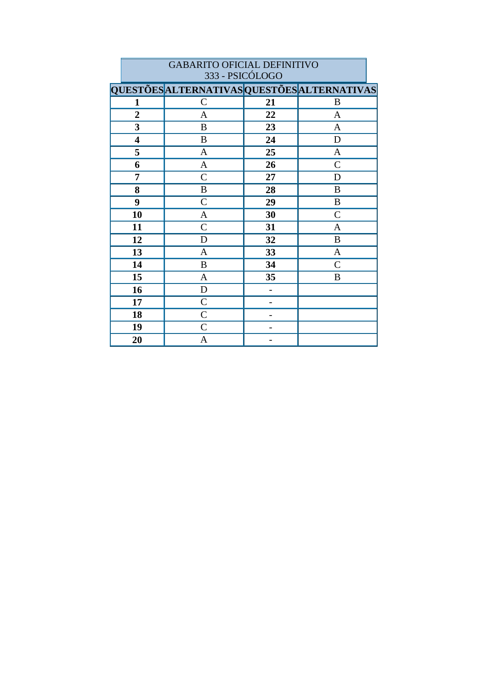|                         | 333 - PSICÓLOGO                             |    |                |  |  |
|-------------------------|---------------------------------------------|----|----------------|--|--|
|                         | QUESTÕES ALTERNATIVAS QUESTÕES ALTERNATIVAS |    |                |  |  |
| 1                       | $\mathcal{C}$                               | 21 | B              |  |  |
| $\overline{2}$          | $\mathbf{A}$                                | 22 | $\mathbf{A}$   |  |  |
| $\overline{\mathbf{3}}$ | $\, {\bf B}$                                | 23 | $\mathbf{A}$   |  |  |
| 4                       | $\bf{B}$                                    | 24 | D              |  |  |
| 5                       | $\mathbf{A}$                                | 25 | $\mathbf{A}$   |  |  |
| 6                       | $\boldsymbol{\mathsf{A}}$                   | 26 | $\overline{C}$ |  |  |
| 7                       | $\mathcal{C}$                               | 27 | D              |  |  |
| 8                       | $\, {\bf B}$                                | 28 | $\bf{B}$       |  |  |
| 9                       | $\mathsf{C}$                                | 29 | $\, {\bf B}$   |  |  |
| 10                      | A                                           | 30 | $\mathcal{C}$  |  |  |
| 11                      | $\mathcal{C}$                               | 31 | A              |  |  |
| 12                      | $\mathbf D$                                 | 32 | $\, {\bf B}$   |  |  |
| 13                      | $\mathbf{A}$                                | 33 | $\mathbf{A}$   |  |  |
| 14                      | $\, {\bf B}$                                | 34 | $\mathcal{C}$  |  |  |
| 15                      | $\mathbf{A}$                                | 35 | B              |  |  |
| 16                      | ${\bf D}$                                   |    |                |  |  |
| 17                      | $\mathsf{C}$                                |    |                |  |  |
| 18                      | $\mathsf{C}$                                |    |                |  |  |
| 19                      | $\mathcal{C}$                               |    |                |  |  |
| 20                      | A                                           |    |                |  |  |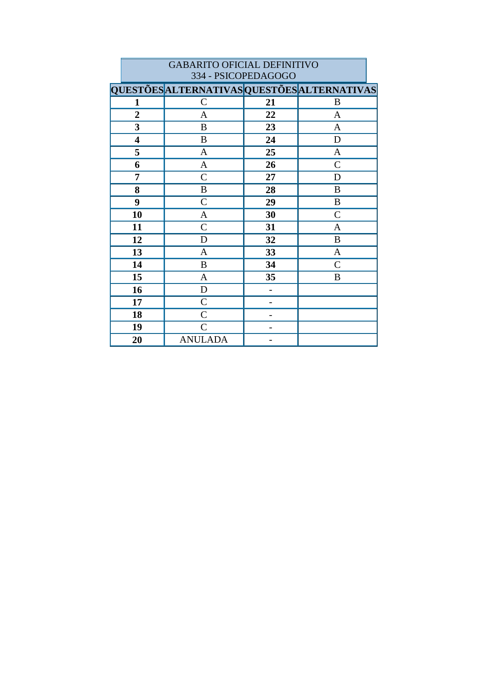|                         | 334 - PSICOPEDAGOGO                         |    |                  |  |  |
|-------------------------|---------------------------------------------|----|------------------|--|--|
|                         | QUESTÕES ALTERNATIVAS QUESTÕES ALTERNATIVAS |    |                  |  |  |
| $\mathbf{1}$            | $\mathcal{C}$                               | 21 | B                |  |  |
| $\overline{2}$          | $\mathbf{A}$                                | 22 | $\mathbf{A}$     |  |  |
| 3                       | $\, {\bf B}$                                | 23 | $\mathbf{A}$     |  |  |
| $\overline{\mathbf{4}}$ | $\, {\bf B}$                                | 24 | $\mathbf D$      |  |  |
| 5                       | $\mathbf{A}$                                | 25 | A                |  |  |
| 6                       | $\mathbf{A}$                                | 26 | $\mathcal{C}$    |  |  |
| 7                       | $\mathcal{C}$                               | 27 | D                |  |  |
| 8                       | $\, {\bf B}$                                | 28 | B                |  |  |
| 9                       | $\mathcal{C}$                               | 29 | $\boldsymbol{B}$ |  |  |
| 10                      | $\mathbf{A}$                                | 30 | $\mathcal{C}$    |  |  |
| 11                      | $\mathcal{C}$                               | 31 | A                |  |  |
| 12                      | D                                           | 32 | $\bf{B}$         |  |  |
| 13                      | $\mathbf{A}$                                | 33 | $\mathbf{A}$     |  |  |
| 14                      | B                                           | 34 | $\mathsf{C}$     |  |  |
| 15                      | $\mathbf{A}$                                | 35 | B                |  |  |
| 16                      | D                                           |    |                  |  |  |
| 17                      | $\mathcal{C}$                               |    |                  |  |  |
| 18                      | $\mathcal{C}$                               |    |                  |  |  |
| 19                      | $\mathcal{C}$                               |    |                  |  |  |
| 20                      | <b>ANULADA</b>                              |    |                  |  |  |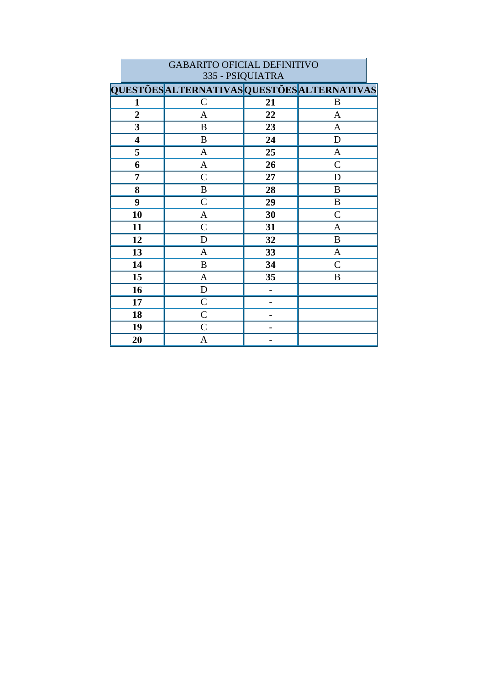|                         | 335 - PSIQUIATRA                            |    |                |  |  |
|-------------------------|---------------------------------------------|----|----------------|--|--|
|                         | QUESTÕES ALTERNATIVAS QUESTÕES ALTERNATIVAS |    |                |  |  |
| $\mathbf{1}$            | $\mathsf{C}$                                | 21 | B              |  |  |
| $\overline{2}$          | A                                           | 22 | A              |  |  |
| 3                       | $\boldsymbol{B}$                            | 23 | $\mathbf{A}$   |  |  |
| $\overline{\mathbf{4}}$ | $\bf{B}$                                    | 24 | $\mathbf D$    |  |  |
| 5                       | $\mathbf{A}$                                | 25 | $\mathbf{A}$   |  |  |
| 6                       | $\mathbf{A}$                                | 26 | $\overline{C}$ |  |  |
| 7                       | $\mathsf{C}$                                | 27 | $\mathbf D$    |  |  |
| 8                       | $\, {\bf B}$                                | 28 | $\bf{B}$       |  |  |
| 9                       | $\mathsf{C}$                                | 29 | $\, {\bf B}$   |  |  |
| 10                      | $\mathbf{A}$                                | 30 | $\mathcal{C}$  |  |  |
| 11                      | $\mathsf{C}$                                | 31 | A              |  |  |
| 12                      | $\mathbf D$                                 | 32 | $\, {\bf B}$   |  |  |
| 13                      | A                                           | 33 | $\mathbf{A}$   |  |  |
| 14                      | $\boldsymbol{B}$                            | 34 | $\mathcal{C}$  |  |  |
| 15                      | $\mathbf{A}$                                | 35 | B              |  |  |
| 16                      | $\mathbf D$                                 |    |                |  |  |
| 17                      | $\mathcal{C}$                               |    |                |  |  |
| 18                      | $\mathcal{C}$                               |    |                |  |  |
| 19                      | $\mathcal{C}$                               |    |                |  |  |
| 20                      | A                                           |    |                |  |  |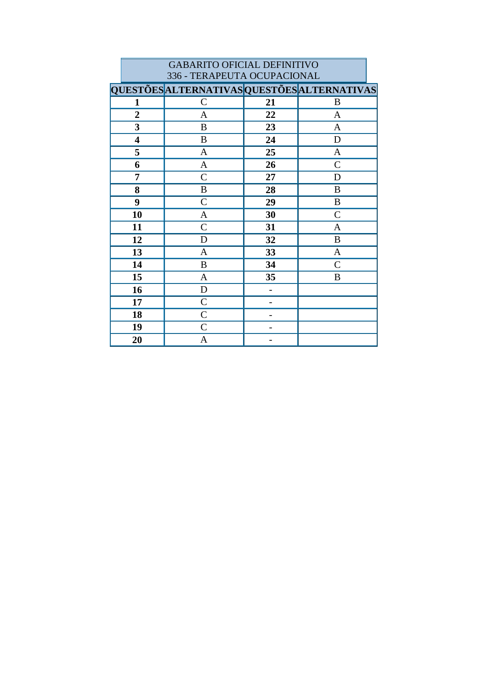|                                             | 336 - TERAPEUTA OCUPACIONAL |                  |    |               |  |  |
|---------------------------------------------|-----------------------------|------------------|----|---------------|--|--|
| QUESTÕES ALTERNATIVAS QUESTÕES ALTERNATIVAS |                             |                  |    |               |  |  |
|                                             | $\mathbf{1}$                | $\mathcal{C}$    | 21 | B             |  |  |
| $\overline{2}$                              |                             | A                | 22 | $\mathbf{A}$  |  |  |
|                                             | 3                           | $\boldsymbol{B}$ | 23 | $\mathbf{A}$  |  |  |
|                                             | $\overline{\mathbf{4}}$     | $\, {\bf B}$     | 24 | $\mathbf D$   |  |  |
|                                             | 5                           | A                | 25 | A             |  |  |
|                                             | 6                           | $\mathbf{A}$     | 26 | $\mathcal{C}$ |  |  |
|                                             | 7                           | $\mathcal{C}$    | 27 | D             |  |  |
|                                             | 8                           | B                | 28 | $\bf{B}$      |  |  |
|                                             | 9                           | $\mathcal{C}$    | 29 | $\bf{B}$      |  |  |
|                                             | 10                          | A                | 30 | $\mathcal{C}$ |  |  |
|                                             | 11                          | $\mathcal{C}$    | 31 | $\mathbf{A}$  |  |  |
|                                             | 12                          | D                | 32 | $\bf{B}$      |  |  |
|                                             | 13                          | A                | 33 | $\mathbf{A}$  |  |  |
|                                             | 14                          | $\, {\bf B}$     | 34 | $\mathcal{C}$ |  |  |
|                                             | 15                          | $\mathbf{A}$     | 35 | B             |  |  |
|                                             | 16                          | $\mathbf D$      |    |               |  |  |
|                                             | 17                          | $\mathcal{C}$    |    |               |  |  |
|                                             | 18                          | $\mathcal{C}$    |    |               |  |  |
|                                             | 19                          | $\mathcal{C}$    |    |               |  |  |
|                                             | 20                          | A                |    |               |  |  |